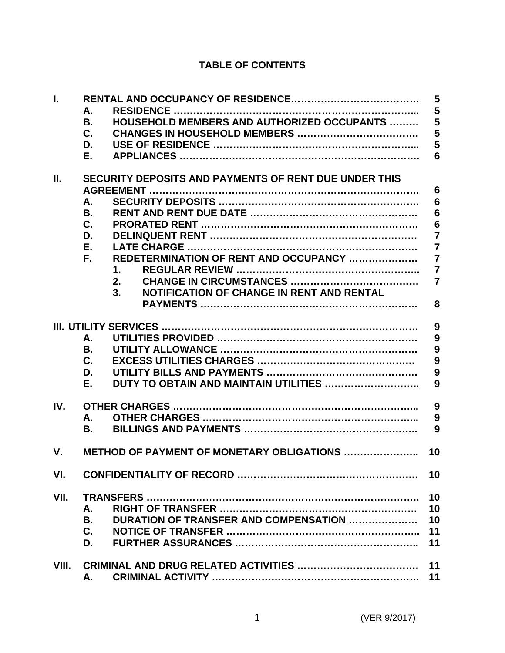# **TABLE OF CONTENTS**

| I.    | А.                                                              | 5<br>5          |
|-------|-----------------------------------------------------------------|-----------------|
|       | <b>HOUSEHOLD MEMBERS AND AUTHORIZED OCCUPANTS </b><br><b>B.</b> | 5               |
|       | C.                                                              | 5               |
|       | D.                                                              | 5               |
|       | Е.                                                              | 6               |
| Н.    | SECURITY DEPOSITS AND PAYMENTS OF RENT DUE UNDER THIS           |                 |
|       |                                                                 | $6\phantom{1}6$ |
|       | А.                                                              | 6               |
|       | <b>B.</b>                                                       | $6\phantom{1}6$ |
|       | $\mathbf{C}$ .                                                  | $6\phantom{1}6$ |
|       | D.                                                              | $\overline{7}$  |
|       | Е.                                                              | $\overline{7}$  |
|       | REDETERMINATION OF RENT AND OCCUPANCY<br>F.                     | $\overline{7}$  |
|       | 1.                                                              | $\overline{7}$  |
|       | 2.                                                              | $\overline{7}$  |
|       | <b>NOTIFICATION OF CHANGE IN RENT AND RENTAL</b><br>3.          |                 |
|       |                                                                 | 8               |
|       |                                                                 | 9               |
|       | А.                                                              | 9               |
|       | В.                                                              | 9               |
|       | $\mathbf{C}$ .                                                  | 9               |
|       | D.                                                              | 9               |
|       | DUTY TO OBTAIN AND MAINTAIN UTILITIES<br>Е.                     | 9               |
| IV.   |                                                                 | 9               |
|       | Α.                                                              | 9               |
|       | В.                                                              | 9               |
| V.    | <b>METHOD OF PAYMENT OF MONETARY OBLIGATIONS </b>               | 10              |
| VI.   |                                                                 | 10              |
| VII.  |                                                                 | 10              |
|       | А.                                                              | 10              |
|       | DURATION OF TRANSFER AND COMPENSATION<br>В.                     | 10              |
|       | C.                                                              | 11              |
|       | D.                                                              | 11              |
| VIII. |                                                                 | 11              |
|       | А.                                                              | 11              |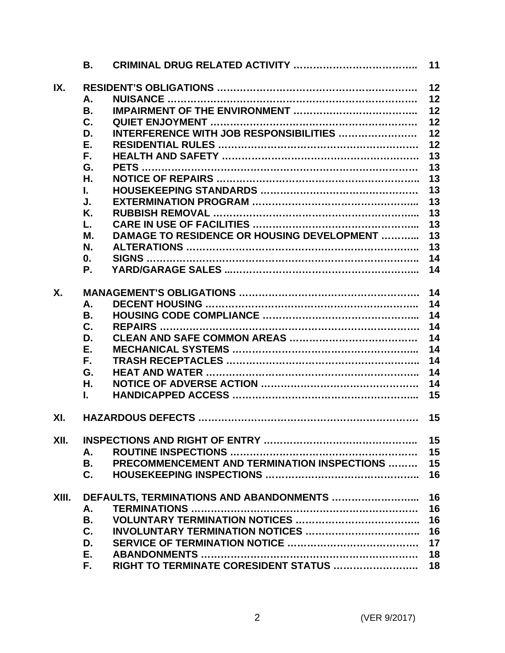|       | В.              |                                                    | 11 |
|-------|-----------------|----------------------------------------------------|----|
| IX.   |                 |                                                    | 12 |
|       | Α.              |                                                    | 12 |
|       | В.              |                                                    | 12 |
|       | C.              |                                                    | 12 |
|       | D.              | INTERFERENCE WITH JOB RESPONSIBILITIES             | 12 |
|       | Ε.              |                                                    | 12 |
|       | F.              |                                                    | 13 |
|       | G.              |                                                    | 13 |
|       | Η.              |                                                    | 13 |
|       | L.              |                                                    | 13 |
|       | J.              |                                                    | 13 |
|       | Κ.              |                                                    | 13 |
|       | L.              |                                                    | 13 |
|       | М.              | <b>DAMAGE TO RESIDENCE OR HOUSING DEVELOPMENT </b> | 13 |
|       | N.              |                                                    | 13 |
|       | 0.              |                                                    | 14 |
|       | Ρ.              |                                                    | 14 |
|       |                 |                                                    |    |
| X.    |                 |                                                    | 14 |
|       | Α.              |                                                    | 14 |
|       | <b>B.</b>       |                                                    | 14 |
|       | C.              |                                                    | 14 |
|       | D.              |                                                    | 14 |
|       | Ε.              |                                                    | 14 |
|       | F.              |                                                    | 14 |
|       | G.              |                                                    | 14 |
|       | Η.              |                                                    | 14 |
|       | L.              |                                                    | 15 |
|       |                 |                                                    |    |
| XI.   |                 |                                                    | 15 |
|       |                 |                                                    |    |
| XII.  |                 |                                                    | 15 |
|       | А.              | PRECOMMENCEMENT AND TERMINATION INSPECTIONS        | 15 |
|       | <b>B.</b><br>C. |                                                    | 15 |
|       |                 |                                                    | 16 |
| XIII. |                 | DEFAULTS, TERMINATIONS AND ABANDONMENTS            | 16 |
|       | А.              |                                                    | 16 |
|       | В.              |                                                    | 16 |
|       | $\mathbf{C}$ .  |                                                    | 16 |
|       | D.              |                                                    | 17 |
|       | Е.              |                                                    | 18 |
|       | F.              | RIGHT TO TERMINATE CORESIDENT STATUS               | 18 |
|       |                 |                                                    |    |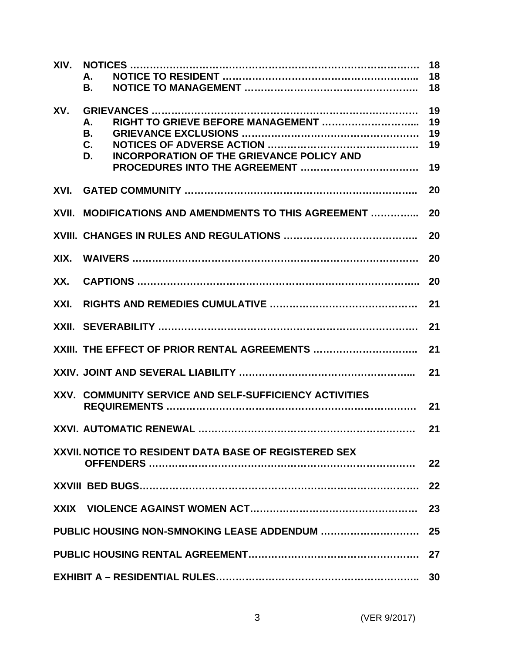|      | А.<br>В.                                                                        | 18<br>18<br>18             |
|------|---------------------------------------------------------------------------------|----------------------------|
| XV.  | Α.<br><b>B.</b><br>C.<br><b>INCORPORATION OF THE GRIEVANCE POLICY AND</b><br>D. | 19<br>19<br>19<br>19<br>19 |
| XVI. |                                                                                 | 20                         |
|      | XVII. MODIFICATIONS AND AMENDMENTS TO THIS AGREEMENT                            | 20                         |
|      |                                                                                 | 20                         |
| XIX. |                                                                                 | 20                         |
| XX.  |                                                                                 | 20                         |
| XXI. |                                                                                 | 21                         |
|      |                                                                                 | 21                         |
|      | XXIII. THE EFFECT OF PRIOR RENTAL AGREEMENTS                                    | 21                         |
|      |                                                                                 | 21                         |
|      | XXV. COMMUNITY SERVICE AND SELF-SUFFICIENCY ACTIVITIES                          | 21                         |
|      | XXVI. AUTOMATIC RENEWAL                                                         | 21                         |
|      | XXVII. NOTICE TO RESIDENT DATA BASE OF REGISTERED SEX                           | 22                         |
|      |                                                                                 | 22                         |
|      |                                                                                 | 23                         |
|      | PUBLIC HOUSING NON-SMNOKING LEASE ADDENDUM                                      | 25                         |
|      |                                                                                 | 27                         |
|      |                                                                                 | 30                         |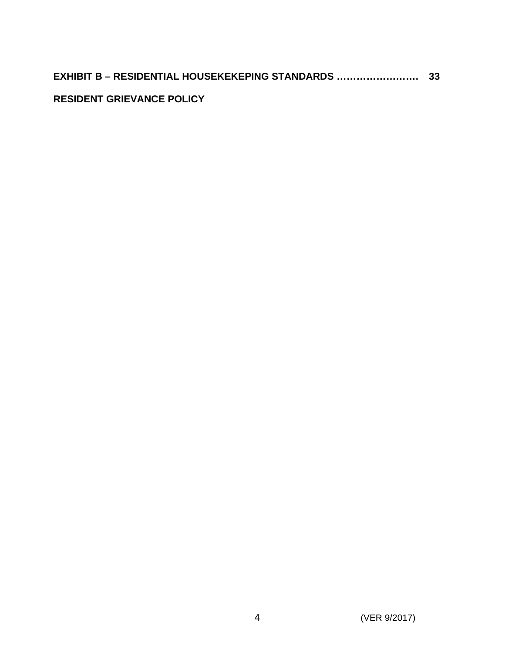# **RESIDENT GRIEVANCE POLICY**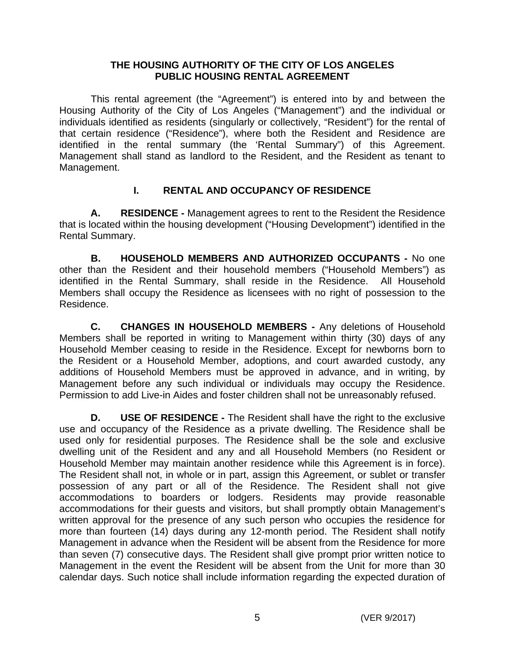### **THE HOUSING AUTHORITY OF THE CITY OF LOS ANGELES PUBLIC HOUSING RENTAL AGREEMENT**

This rental agreement (the "Agreement") is entered into by and between the Housing Authority of the City of Los Angeles ("Management") and the individual or individuals identified as residents (singularly or collectively, "Resident") for the rental of that certain residence ("Residence"), where both the Resident and Residence are identified in the rental summary (the 'Rental Summary") of this Agreement. Management shall stand as landlord to the Resident, and the Resident as tenant to Management.

# **I. RENTAL AND OCCUPANCY OF RESIDENCE**

**A. RESIDENCE -** Management agrees to rent to the Resident the Residence that is located within the housing development ("Housing Development") identified in the Rental Summary.

**B. HOUSEHOLD MEMBERS AND AUTHORIZED OCCUPANTS -** No one other than the Resident and their household members ("Household Members") as identified in the Rental Summary, shall reside in the Residence. All Household Members shall occupy the Residence as licensees with no right of possession to the Residence.

 **C. CHANGES IN HOUSEHOLD MEMBERS -** Any deletions of Household Members shall be reported in writing to Management within thirty (30) days of any Household Member ceasing to reside in the Residence. Except for newborns born to the Resident or a Household Member, adoptions, and court awarded custody, any additions of Household Members must be approved in advance, and in writing, by Management before any such individual or individuals may occupy the Residence. Permission to add Live-in Aides and foster children shall not be unreasonably refused.

**D. USE OF RESIDENCE -** The Resident shall have the right to the exclusive use and occupancy of the Residence as a private dwelling. The Residence shall be used only for residential purposes. The Residence shall be the sole and exclusive dwelling unit of the Resident and any and all Household Members (no Resident or Household Member may maintain another residence while this Agreement is in force). The Resident shall not, in whole or in part, assign this Agreement, or sublet or transfer possession of any part or all of the Residence. The Resident shall not give accommodations to boarders or lodgers. Residents may provide reasonable accommodations for their guests and visitors, but shall promptly obtain Management's written approval for the presence of any such person who occupies the residence for more than fourteen (14) days during any 12-month period. The Resident shall notify Management in advance when the Resident will be absent from the Residence for more than seven (7) consecutive days. The Resident shall give prompt prior written notice to Management in the event the Resident will be absent from the Unit for more than 30 calendar days. Such notice shall include information regarding the expected duration of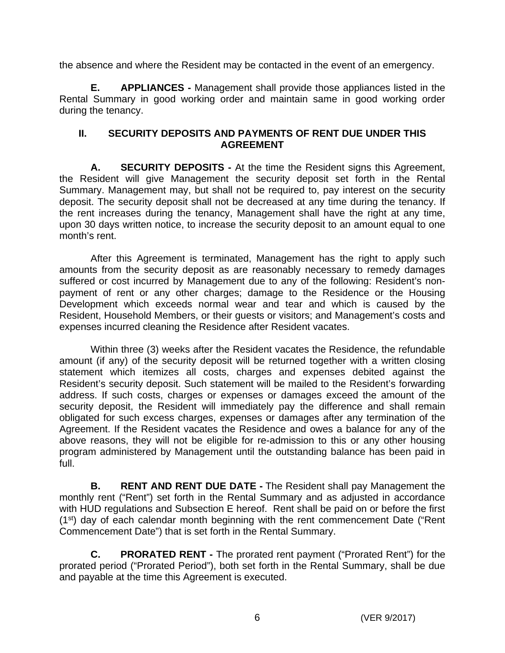the absence and where the Resident may be contacted in the event of an emergency.

**E. APPLIANCES -** Management shall provide those appliances listed in the Rental Summary in good working order and maintain same in good working order during the tenancy.

### **II. SECURITY DEPOSITS AND PAYMENTS OF RENT DUE UNDER THIS AGREEMENT**

**A. SECURITY DEPOSITS -** At the time the Resident signs this Agreement, the Resident will give Management the security deposit set forth in the Rental Summary. Management may, but shall not be required to, pay interest on the security deposit. The security deposit shall not be decreased at any time during the tenancy. If the rent increases during the tenancy, Management shall have the right at any time, upon 30 days written notice, to increase the security deposit to an amount equal to one month's rent.

After this Agreement is terminated, Management has the right to apply such amounts from the security deposit as are reasonably necessary to remedy damages suffered or cost incurred by Management due to any of the following: Resident's nonpayment of rent or any other charges; damage to the Residence or the Housing Development which exceeds normal wear and tear and which is caused by the Resident, Household Members, or their guests or visitors; and Management's costs and expenses incurred cleaning the Residence after Resident vacates.

Within three (3) weeks after the Resident vacates the Residence, the refundable amount (if any) of the security deposit will be returned together with a written closing statement which itemizes all costs, charges and expenses debited against the Resident's security deposit. Such statement will be mailed to the Resident's forwarding address. If such costs, charges or expenses or damages exceed the amount of the security deposit, the Resident will immediately pay the difference and shall remain obligated for such excess charges, expenses or damages after any termination of the Agreement. If the Resident vacates the Residence and owes a balance for any of the above reasons, they will not be eligible for re-admission to this or any other housing program administered by Management until the outstanding balance has been paid in full.

**B. RENT AND RENT DUE DATE -** The Resident shall pay Management the monthly rent ("Rent") set forth in the Rental Summary and as adjusted in accordance with HUD regulations and Subsection E hereof. Rent shall be paid on or before the first (1<sup>st</sup>) day of each calendar month beginning with the rent commencement Date ("Rent Commencement Date") that is set forth in the Rental Summary.

**C. PRORATED RENT -** The prorated rent payment ("Prorated Rent") for the prorated period ("Prorated Period"), both set forth in the Rental Summary, shall be due and payable at the time this Agreement is executed.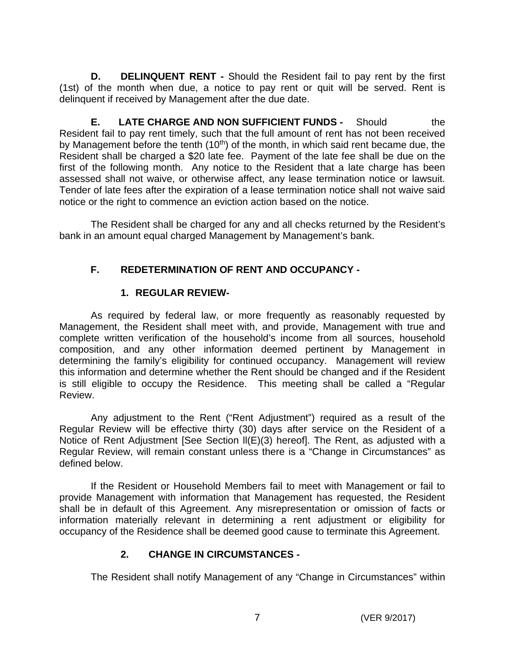**D. DELINQUENT RENT -** Should the Resident fail to pay rent by the first (1st) of the month when due, a notice to pay rent or quit will be served. Rent is delinquent if received by Management after the due date.

**E. LATE CHARGE AND NON SUFFICIENT FUNDS -** Should the Resident fail to pay rent timely, such that the full amount of rent has not been received by Management before the tenth  $(10<sup>th</sup>)$  of the month, in which said rent became due, the Resident shall be charged a \$20 late fee. Payment of the late fee shall be due on the first of the following month. Any notice to the Resident that a late charge has been assessed shall not waive, or otherwise affect, any lease termination notice or lawsuit. Tender of late fees after the expiration of a lease termination notice shall not waive said notice or the right to commence an eviction action based on the notice.

The Resident shall be charged for any and all checks returned by the Resident's bank in an amount equal charged Management by Management's bank.

# **F. REDETERMINATION OF RENT AND OCCUPANCY -**

# **1. REGULAR REVIEW-**

As required by federal law, or more frequently as reasonably requested by Management, the Resident shall meet with, and provide, Management with true and complete written verification of the household's income from all sources, household composition, and any other information deemed pertinent by Management in determining the family's eligibility for continued occupancy. Management will review this information and determine whether the Rent should be changed and if the Resident is still eligible to occupy the Residence. This meeting shall be called a "Regular Review.

Any adjustment to the Rent ("Rent Adjustment") required as a result of the Regular Review will be effective thirty (30) days after service on the Resident of a Notice of Rent Adjustment [See Section ll(E)(3) hereof]. The Rent, as adjusted with a Regular Review, will remain constant unless there is a "Change in Circumstances" as defined below.

If the Resident or Household Members fail to meet with Management or fail to provide Management with information that Management has requested, the Resident shall be in default of this Agreement. Any misrepresentation or omission of facts or information materially relevant in determining a rent adjustment or eligibility for occupancy of the Residence shall be deemed good cause to terminate this Agreement.

# **2. CHANGE IN CIRCUMSTANCES -**

The Resident shall notify Management of any "Change in Circumstances" within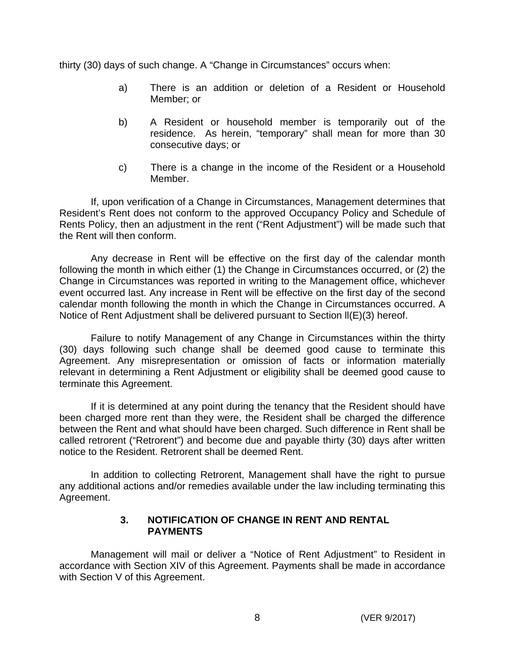thirty (30) days of such change. A "Change in Circumstances" occurs when:

- a) There is an addition or deletion of a Resident or Household Member; or
- b) A Resident or household member is temporarily out of the residence. As herein, "temporary" shall mean for more than 30 consecutive days; or
- c) There is a change in the income of the Resident or a Household Member.

If, upon verification of a Change in Circumstances, Management determines that Resident's Rent does not conform to the approved Occupancy Policy and Schedule of Rents Policy, then an adjustment in the rent ("Rent Adjustment") will be made such that the Rent will then conform.

Any decrease in Rent will be effective on the first day of the calendar month following the month in which either (1) the Change in Circumstances occurred, or (2) the Change in Circumstances was reported in writing to the Management office, whichever event occurred last. Any increase in Rent will be effective on the first day of the second calendar month following the month in which the Change in Circumstances occurred. A Notice of Rent Adjustment shall be delivered pursuant to Section ll(E)(3) hereof.

Failure to notify Management of any Change in Circumstances within the thirty (30) days following such change shall be deemed good cause to terminate this Agreement. Any misrepresentation or omission of facts or information materially relevant in determining a Rent Adjustment or eligibility shall be deemed good cause to terminate this Agreement.

If it is determined at any point during the tenancy that the Resident should have been charged more rent than they were, the Resident shall be charged the difference between the Rent and what should have been charged. Such difference in Rent shall be called retrorent ("Retrorent") and become due and payable thirty (30) days after written notice to the Resident. Retrorent shall be deemed Rent.

In addition to collecting Retrorent, Management shall have the right to pursue any additional actions and/or remedies available under the law including terminating this Agreement.

### **3. NOTIFICATION OF CHANGE IN RENT AND RENTAL PAYMENTS**

Management will mail or deliver a "Notice of Rent Adjustment" to Resident in accordance with Section XIV of this Agreement. Payments shall be made in accordance with Section V of this Agreement.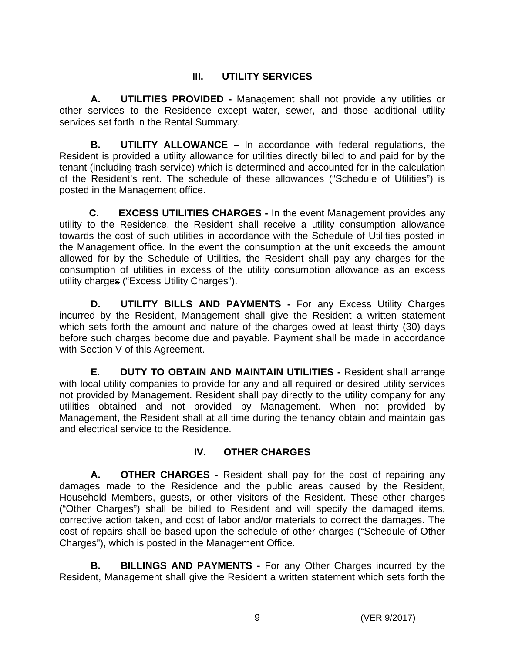# **III. UTILITY SERVICES**

**A. UTILITIES PROVIDED -** Management shall not provide any utilities or other services to the Residence except water, sewer, and those additional utility services set forth in the Rental Summary.

**B. UTILITY ALLOWANCE –** In accordance with federal regulations, the Resident is provided a utility allowance for utilities directly billed to and paid for by the tenant (including trash service) which is determined and accounted for in the calculation of the Resident's rent. The schedule of these allowances ("Schedule of Utilities") is posted in the Management office.

 **C. EXCESS UTILITIES CHARGES -** In the event Management provides any utility to the Residence, the Resident shall receive a utility consumption allowance towards the cost of such utilities in accordance with the Schedule of Utilities posted in the Management office. In the event the consumption at the unit exceeds the amount allowed for by the Schedule of Utilities, the Resident shall pay any charges for the consumption of utilities in excess of the utility consumption allowance as an excess utility charges ("Excess Utility Charges").

**D. UTILITY BILLS AND PAYMENTS -** For any Excess Utility Charges incurred by the Resident, Management shall give the Resident a written statement which sets forth the amount and nature of the charges owed at least thirty (30) days before such charges become due and payable. Payment shall be made in accordance with Section V of this Agreement.

**E. DUTY TO OBTAIN AND MAINTAIN UTILITIES -** Resident shall arrange with local utility companies to provide for any and all required or desired utility services not provided by Management. Resident shall pay directly to the utility company for any utilities obtained and not provided by Management. When not provided by Management, the Resident shall at all time during the tenancy obtain and maintain gas and electrical service to the Residence.

# **IV. OTHER CHARGES**

**A. OTHER CHARGES -** Resident shall pay for the cost of repairing any damages made to the Residence and the public areas caused by the Resident, Household Members, guests, or other visitors of the Resident. These other charges ("Other Charges") shall be billed to Resident and will specify the damaged items, corrective action taken, and cost of labor and/or materials to correct the damages. The cost of repairs shall be based upon the schedule of other charges ("Schedule of Other Charges"), which is posted in the Management Office.

**B. BILLINGS AND PAYMENTS -** For any Other Charges incurred by the Resident, Management shall give the Resident a written statement which sets forth the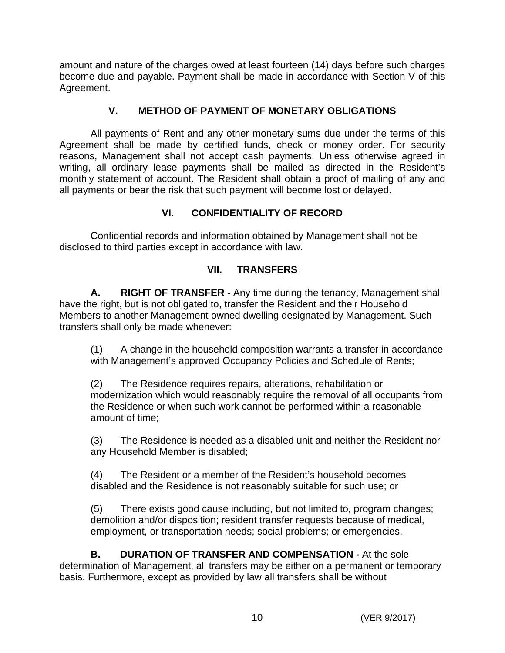amount and nature of the charges owed at least fourteen (14) days before such charges become due and payable. Payment shall be made in accordance with Section V of this Agreement.

# **V. METHOD OF PAYMENT OF MONETARY OBLIGATIONS**

All payments of Rent and any other monetary sums due under the terms of this Agreement shall be made by certified funds, check or money order. For security reasons, Management shall not accept cash payments. Unless otherwise agreed in writing, all ordinary lease payments shall be mailed as directed in the Resident's monthly statement of account. The Resident shall obtain a proof of mailing of any and all payments or bear the risk that such payment will become lost or delayed.

# **VI. CONFIDENTIALITY OF RECORD**

Confidential records and information obtained by Management shall not be disclosed to third parties except in accordance with law.

# **VII. TRANSFERS**

**A. RIGHT OF TRANSFER -** Any time during the tenancy, Management shall have the right, but is not obligated to, transfer the Resident and their Household Members to another Management owned dwelling designated by Management. Such transfers shall only be made whenever:

(1) A change in the household composition warrants a transfer in accordance with Management's approved Occupancy Policies and Schedule of Rents;

(2) The Residence requires repairs, alterations, rehabilitation or modernization which would reasonably require the removal of all occupants from the Residence or when such work cannot be performed within a reasonable amount of time;

(3) The Residence is needed as a disabled unit and neither the Resident nor any Household Member is disabled;

(4) The Resident or a member of the Resident's household becomes disabled and the Residence is not reasonably suitable for such use; or

(5) There exists good cause including, but not limited to, program changes; demolition and/or disposition; resident transfer requests because of medical, employment, or transportation needs; social problems; or emergencies.

**B. DURATION OF TRANSFER AND COMPENSATION - At the sole** determination of Management, all transfers may be either on a permanent or temporary basis. Furthermore, except as provided by law all transfers shall be without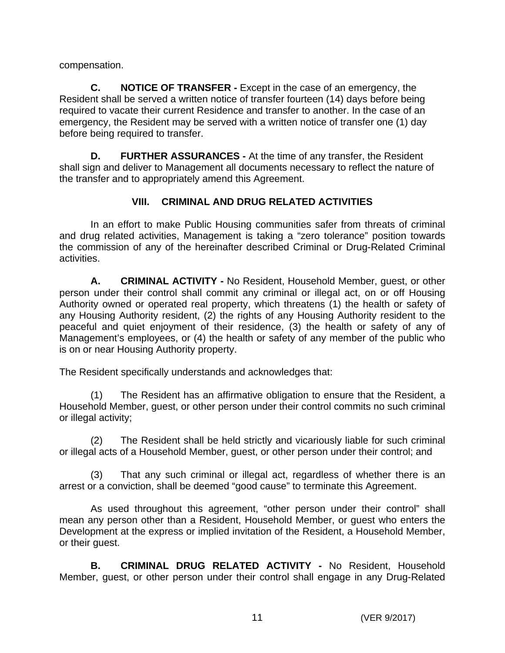compensation.

**C. NOTICE OF TRANSFER -** Except in the case of an emergency, the Resident shall be served a written notice of transfer fourteen (14) days before being required to vacate their current Residence and transfer to another. In the case of an emergency, the Resident may be served with a written notice of transfer one (1) day before being required to transfer.

**D. FURTHER ASSURANCES -** At the time of any transfer, the Resident shall sign and deliver to Management all documents necessary to reflect the nature of the transfer and to appropriately amend this Agreement.

# **VIII. CRIMINAL AND DRUG RELATED ACTIVITIES**

In an effort to make Public Housing communities safer from threats of criminal and drug related activities, Management is taking a "zero tolerance" position towards the commission of any of the hereinafter described Criminal or Drug-Related Criminal activities.

**A. CRIMINAL ACTIVITY -** No Resident, Household Member, guest, or other person under their control shall commit any criminal or illegal act, on or off Housing Authority owned or operated real property, which threatens (1) the health or safety of any Housing Authority resident, (2) the rights of any Housing Authority resident to the peaceful and quiet enjoyment of their residence, (3) the health or safety of any of Management's employees, or (4) the health or safety of any member of the public who is on or near Housing Authority property.

The Resident specifically understands and acknowledges that:

(1) The Resident has an affirmative obligation to ensure that the Resident, a Household Member, guest, or other person under their control commits no such criminal or illegal activity;

(2) The Resident shall be held strictly and vicariously liable for such criminal or illegal acts of a Household Member, guest, or other person under their control; and

(3) That any such criminal or illegal act, regardless of whether there is an arrest or a conviction, shall be deemed "good cause" to terminate this Agreement.

As used throughout this agreement, "other person under their control" shall mean any person other than a Resident, Household Member, or guest who enters the Development at the express or implied invitation of the Resident, a Household Member, or their guest.

**B. CRIMINAL DRUG RELATED ACTIVITY -** No Resident, Household Member, guest, or other person under their control shall engage in any Drug-Related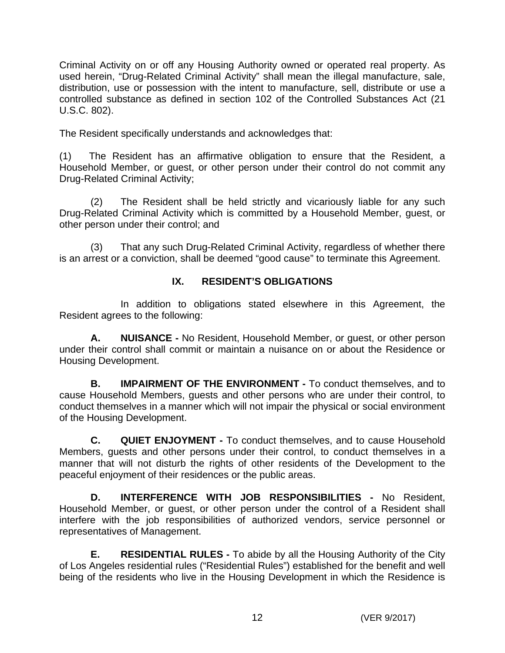Criminal Activity on or off any Housing Authority owned or operated real property. As used herein, "Drug-Related Criminal Activity" shall mean the illegal manufacture, sale, distribution, use or possession with the intent to manufacture, sell, distribute or use a controlled substance as defined in section 102 of the Controlled Substances Act (21 U.S.C. 802).

The Resident specifically understands and acknowledges that:

(1) The Resident has an affirmative obligation to ensure that the Resident, a Household Member, or guest, or other person under their control do not commit any Drug-Related Criminal Activity;

(2) The Resident shall be held strictly and vicariously liable for any such Drug-Related Criminal Activity which is committed by a Household Member, guest, or other person under their control; and

(3) That any such Drug-Related Criminal Activity, regardless of whether there is an arrest or a conviction, shall be deemed "good cause" to terminate this Agreement.

## **IX. RESIDENT'S OBLIGATIONS**

In addition to obligations stated elsewhere in this Agreement, the Resident agrees to the following:

**A. NUISANCE -** No Resident, Household Member, or guest, or other person under their control shall commit or maintain a nuisance on or about the Residence or Housing Development.

**B. IMPAIRMENT OF THE ENVIRONMENT -** To conduct themselves, and to cause Household Members, guests and other persons who are under their control, to conduct themselves in a manner which will not impair the physical or social environment of the Housing Development.

**C. QUIET ENJOYMENT -** To conduct themselves, and to cause Household Members, guests and other persons under their control, to conduct themselves in a manner that will not disturb the rights of other residents of the Development to the peaceful enjoyment of their residences or the public areas.

**D. INTERFERENCE WITH JOB RESPONSIBILITIES -** No Resident, Household Member, or guest, or other person under the control of a Resident shall interfere with the job responsibilities of authorized vendors, service personnel or representatives of Management.

**E. RESIDENTIAL RULES -** To abide by all the Housing Authority of the City of Los Angeles residential rules ("Residential Rules") established for the benefit and well being of the residents who live in the Housing Development in which the Residence is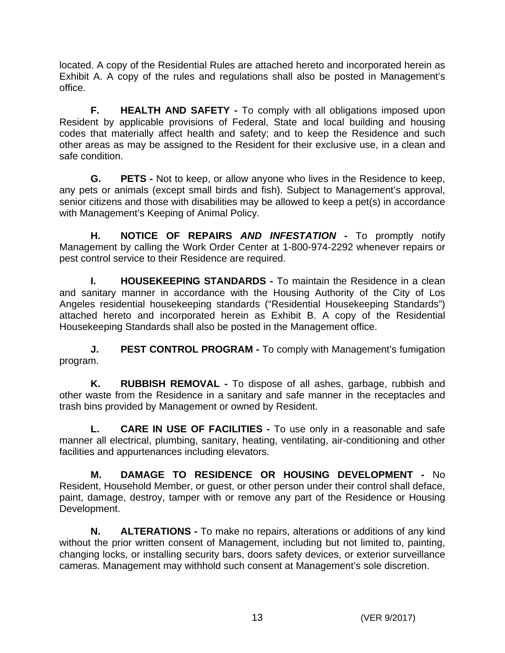located. A copy of the Residential Rules are attached hereto and incorporated herein as Exhibit A. A copy of the rules and regulations shall also be posted in Management's office.

**F. HEALTH AND SAFETY -** To comply with all obligations imposed upon Resident by applicable provisions of Federal, State and local building and housing codes that materially affect health and safety; and to keep the Residence and such other areas as may be assigned to the Resident for their exclusive use, in a clean and safe condition.

**G. PETS -** Not to keep, or allow anyone who lives in the Residence to keep, any pets or animals (except small birds and fish). Subject to Management's approval, senior citizens and those with disabilities may be allowed to keep a pet(s) in accordance with Management's Keeping of Animal Policy.

**H. NOTICE OF REPAIRS** *AND INFESTATION* **-** To promptly notify Management by calling the Work Order Center at 1-800-974-2292 whenever repairs or pest control service to their Residence are required.

**I. HOUSEKEEPING STANDARDS -** To maintain the Residence in a clean and sanitary manner in accordance with the Housing Authority of the City of Los Angeles residential housekeeping standards ("Residential Housekeeping Standards") attached hereto and incorporated herein as Exhibit B. A copy of the Residential Housekeeping Standards shall also be posted in the Management office.

**J. PEST CONTROL PROGRAM -** To comply with Management's fumigation program.

**K. RUBBISH REMOVAL -** To dispose of all ashes, garbage, rubbish and other waste from the Residence in a sanitary and safe manner in the receptacles and trash bins provided by Management or owned by Resident.

**L. CARE IN USE OF FACILITIES -** To use only in a reasonable and safe manner all electrical, plumbing, sanitary, heating, ventilating, air-conditioning and other facilities and appurtenances including elevators.

**M. DAMAGE TO RESIDENCE OR HOUSING DEVELOPMENT -** No Resident, Household Member, or guest, or other person under their control shall deface, paint, damage, destroy, tamper with or remove any part of the Residence or Housing Development.

**N. ALTERATIONS -** To make no repairs, alterations or additions of any kind without the prior written consent of Management, including but not limited to, painting, changing locks, or installing security bars, doors safety devices, or exterior surveillance cameras. Management may withhold such consent at Management's sole discretion.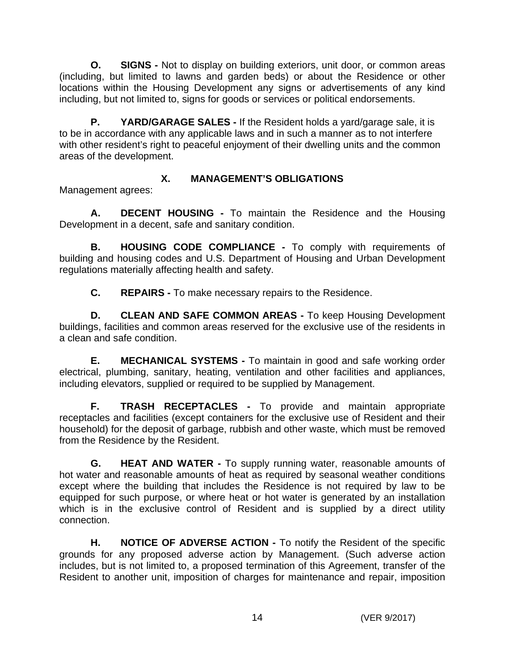**O.** SIGNS - Not to display on building exteriors, unit door, or common areas (including, but limited to lawns and garden beds) or about the Residence or other locations within the Housing Development any signs or advertisements of any kind including, but not limited to, signs for goods or services or political endorsements.

**P.** YARD/GARAGE SALES - If the Resident holds a yard/garage sale, it is to be in accordance with any applicable laws and in such a manner as to not interfere with other resident's right to peaceful enjoyment of their dwelling units and the common areas of the development.

# **X. MANAGEMENT'S OBLIGATIONS**

Management agrees:

**A. DECENT HOUSING -** To maintain the Residence and the Housing Development in a decent, safe and sanitary condition.

**B. HOUSING CODE COMPLIANCE -** To comply with requirements of building and housing codes and U.S. Department of Housing and Urban Development regulations materially affecting health and safety.

**C. REPAIRS -** To make necessary repairs to the Residence.

**D. CLEAN AND SAFE COMMON AREAS -** To keep Housing Development buildings, facilities and common areas reserved for the exclusive use of the residents in a clean and safe condition.

**E. MECHANICAL SYSTEMS -** To maintain in good and safe working order electrical, plumbing, sanitary, heating, ventilation and other facilities and appliances, including elevators, supplied or required to be supplied by Management.

**F. TRASH RECEPTACLES -** To provide and maintain appropriate receptacles and facilities (except containers for the exclusive use of Resident and their household) for the deposit of garbage, rubbish and other waste, which must be removed from the Residence by the Resident.

**G. HEAT AND WATER -** To supply running water, reasonable amounts of hot water and reasonable amounts of heat as required by seasonal weather conditions except where the building that includes the Residence is not required by law to be equipped for such purpose, or where heat or hot water is generated by an installation which is in the exclusive control of Resident and is supplied by a direct utility connection.

**H. NOTICE OF ADVERSE ACTION -** To notify the Resident of the specific grounds for any proposed adverse action by Management. (Such adverse action includes, but is not limited to, a proposed termination of this Agreement, transfer of the Resident to another unit, imposition of charges for maintenance and repair, imposition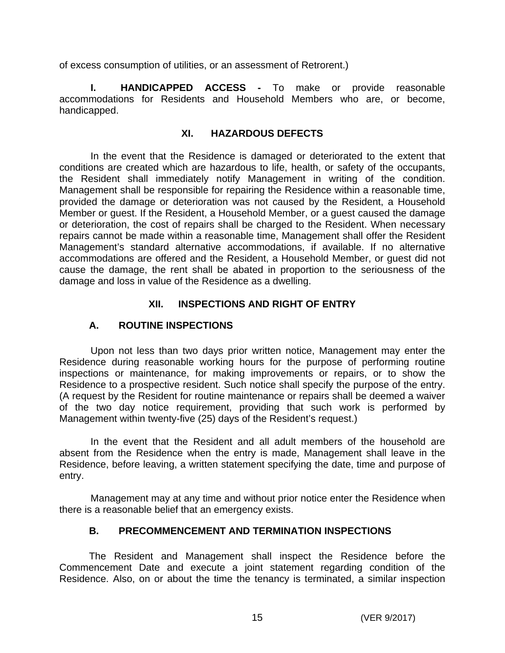of excess consumption of utilities, or an assessment of Retrorent.)

**I. HANDICAPPED ACCESS -** To make or provide reasonable accommodations for Residents and Household Members who are, or become, handicapped.

### **XI. HAZARDOUS DEFECTS**

In the event that the Residence is damaged or deteriorated to the extent that conditions are created which are hazardous to life, health, or safety of the occupants, the Resident shall immediately notify Management in writing of the condition. Management shall be responsible for repairing the Residence within a reasonable time, provided the damage or deterioration was not caused by the Resident, a Household Member or guest. If the Resident, a Household Member, or a guest caused the damage or deterioration, the cost of repairs shall be charged to the Resident. When necessary repairs cannot be made within a reasonable time, Management shall offer the Resident Management's standard alternative accommodations, if available. If no alternative accommodations are offered and the Resident, a Household Member, or guest did not cause the damage, the rent shall be abated in proportion to the seriousness of the damage and loss in value of the Residence as a dwelling.

## **XII. INSPECTIONS AND RIGHT OF ENTRY**

## **A. ROUTINE INSPECTIONS**

Upon not less than two days prior written notice, Management may enter the Residence during reasonable working hours for the purpose of performing routine inspections or maintenance, for making improvements or repairs, or to show the Residence to a prospective resident. Such notice shall specify the purpose of the entry. (A request by the Resident for routine maintenance or repairs shall be deemed a waiver of the two day notice requirement, providing that such work is performed by Management within twenty-five (25) days of the Resident's request.)

In the event that the Resident and all adult members of the household are absent from the Residence when the entry is made, Management shall leave in the Residence, before leaving, a written statement specifying the date, time and purpose of entry.

Management may at any time and without prior notice enter the Residence when there is a reasonable belief that an emergency exists.

## **B. PRECOMMENCEMENT AND TERMINATION INSPECTIONS**

The Resident and Management shall inspect the Residence before the Commencement Date and execute a joint statement regarding condition of the Residence. Also, on or about the time the tenancy is terminated, a similar inspection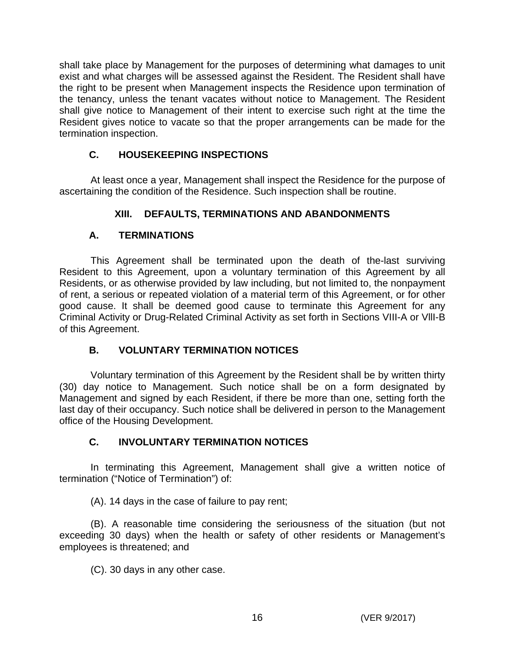shall take place by Management for the purposes of determining what damages to unit exist and what charges will be assessed against the Resident. The Resident shall have the right to be present when Management inspects the Residence upon termination of the tenancy, unless the tenant vacates without notice to Management. The Resident shall give notice to Management of their intent to exercise such right at the time the Resident gives notice to vacate so that the proper arrangements can be made for the termination inspection.

# **C. HOUSEKEEPING INSPECTIONS**

At least once a year, Management shall inspect the Residence for the purpose of ascertaining the condition of the Residence. Such inspection shall be routine.

# **XIII. DEFAULTS, TERMINATIONS AND ABANDONMENTS**

# **A. TERMINATIONS**

This Agreement shall be terminated upon the death of the-last surviving Resident to this Agreement, upon a voluntary termination of this Agreement by all Residents, or as otherwise provided by law including, but not limited to, the nonpayment of rent, a serious or repeated violation of a material term of this Agreement, or for other good cause. It shall be deemed good cause to terminate this Agreement for any Criminal Activity or Drug-Related Criminal Activity as set forth in Sections VIII-A or VllI-B of this Agreement.

# **B. VOLUNTARY TERMINATION NOTICES**

Voluntary termination of this Agreement by the Resident shall be by written thirty (30) day notice to Management. Such notice shall be on a form designated by Management and signed by each Resident, if there be more than one, setting forth the last day of their occupancy. Such notice shall be delivered in person to the Management office of the Housing Development.

# **C. INVOLUNTARY TERMINATION NOTICES**

In terminating this Agreement, Management shall give a written notice of termination ("Notice of Termination") of:

(A). 14 days in the case of failure to pay rent;

(B). A reasonable time considering the seriousness of the situation (but not exceeding 30 days) when the health or safety of other residents or Management's employees is threatened; and

(C). 30 days in any other case.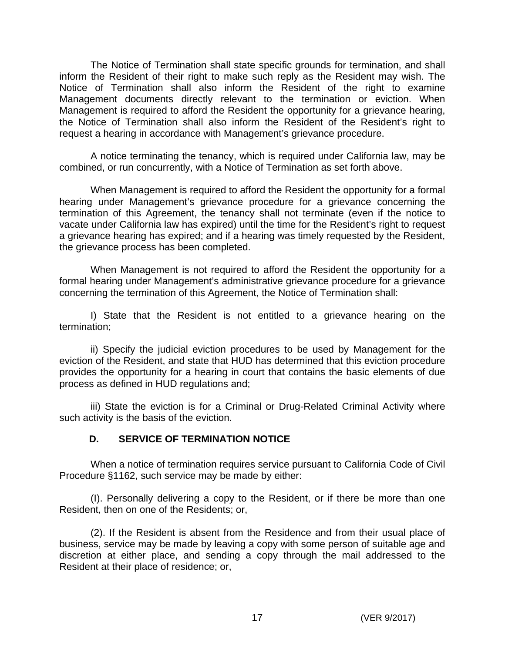The Notice of Termination shall state specific grounds for termination, and shall inform the Resident of their right to make such reply as the Resident may wish. The Notice of Termination shall also inform the Resident of the right to examine Management documents directly relevant to the termination or eviction. When Management is required to afford the Resident the opportunity for a grievance hearing, the Notice of Termination shall also inform the Resident of the Resident's right to request a hearing in accordance with Management's grievance procedure.

A notice terminating the tenancy, which is required under California law, may be combined, or run concurrently, with a Notice of Termination as set forth above.

When Management is required to afford the Resident the opportunity for a formal hearing under Management's grievance procedure for a grievance concerning the termination of this Agreement, the tenancy shall not terminate (even if the notice to vacate under California law has expired) until the time for the Resident's right to request a grievance hearing has expired; and if a hearing was timely requested by the Resident, the grievance process has been completed.

When Management is not required to afford the Resident the opportunity for a formal hearing under Management's administrative grievance procedure for a grievance concerning the termination of this Agreement, the Notice of Termination shall:

I) State that the Resident is not entitled to a grievance hearing on the termination;

ii) Specify the judicial eviction procedures to be used by Management for the eviction of the Resident, and state that HUD has determined that this eviction procedure provides the opportunity for a hearing in court that contains the basic elements of due process as defined in HUD regulations and;

iii) State the eviction is for a Criminal or Drug-Related Criminal Activity where such activity is the basis of the eviction.

## **D. SERVICE OF TERMINATION NOTICE**

When a notice of termination requires service pursuant to California Code of Civil Procedure §1162, such service may be made by either:

(I). Personally delivering a copy to the Resident, or if there be more than one Resident, then on one of the Residents; or,

(2). If the Resident is absent from the Residence and from their usual place of business, service may be made by leaving a copy with some person of suitable age and discretion at either place, and sending a copy through the mail addressed to the Resident at their place of residence; or,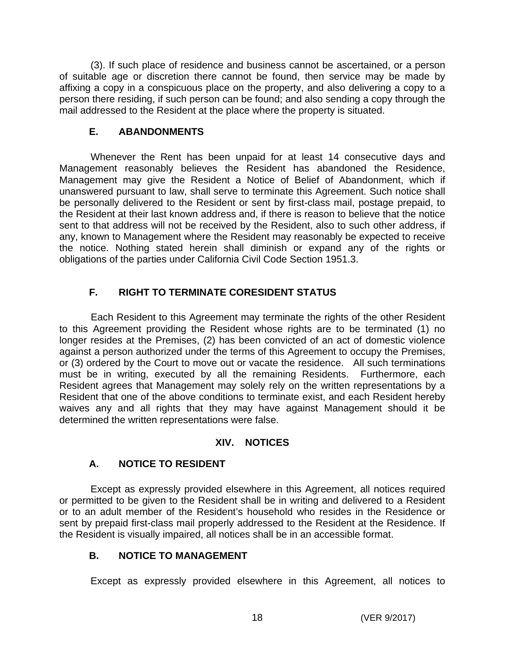(3). If such place of residence and business cannot be ascertained, or a person of suitable age or discretion there cannot be found, then service may be made by affixing a copy in a conspicuous place on the property, and also delivering a copy to a person there residing, if such person can be found; and also sending a copy through the mail addressed to the Resident at the place where the property is situated.

## **E. ABANDONMENTS**

Whenever the Rent has been unpaid for at least 14 consecutive days and Management reasonably believes the Resident has abandoned the Residence, Management may give the Resident a Notice of Belief of Abandonment, which if unanswered pursuant to law, shall serve to terminate this Agreement. Such notice shall be personally delivered to the Resident or sent by first-class mail, postage prepaid, to the Resident at their last known address and, if there is reason to believe that the notice sent to that address will not be received by the Resident, also to such other address, if any, known to Management where the Resident may reasonably be expected to receive the notice. Nothing stated herein shall diminish or expand any of the rights or obligations of the parties under California Civil Code Section 1951.3.

# **F. RIGHT TO TERMINATE CORESIDENT STATUS**

Each Resident to this Agreement may terminate the rights of the other Resident to this Agreement providing the Resident whose rights are to be terminated (1) no longer resides at the Premises, (2) has been convicted of an act of domestic violence against a person authorized under the terms of this Agreement to occupy the Premises, or (3) ordered by the Court to move out or vacate the residence. All such terminations must be in writing, executed by all the remaining Residents. Furthermore, each Resident agrees that Management may solely rely on the written representations by a Resident that one of the above conditions to terminate exist, and each Resident hereby waives any and all rights that they may have against Management should it be determined the written representations were false.

# **XIV. NOTICES**

# **A. NOTICE TO RESIDENT**

Except as expressly provided elsewhere in this Agreement, all notices required or permitted to be given to the Resident shall be in writing and delivered to a Resident or to an adult member of the Resident's household who resides in the Residence or sent by prepaid first-class mail properly addressed to the Resident at the Residence. If the Resident is visually impaired, all notices shall be in an accessible format.

## **B. NOTICE TO MANAGEMENT**

Except as expressly provided elsewhere in this Agreement, all notices to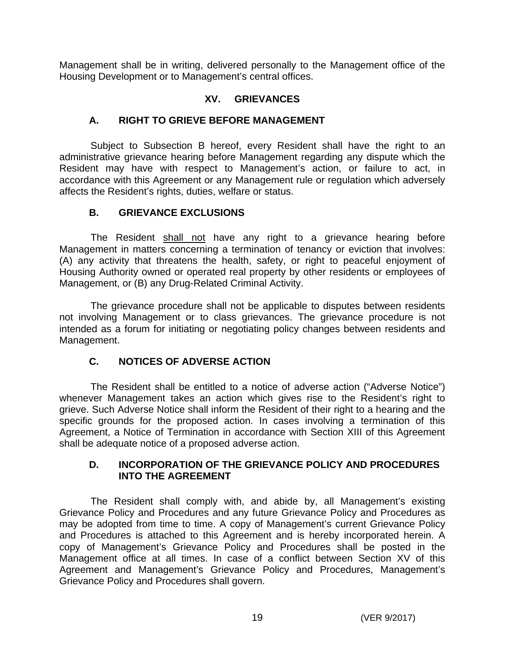Management shall be in writing, delivered personally to the Management office of the Housing Development or to Management's central offices.

## **XV. GRIEVANCES**

## **A. RIGHT TO GRIEVE BEFORE MANAGEMENT**

Subject to Subsection B hereof, every Resident shall have the right to an administrative grievance hearing before Management regarding any dispute which the Resident may have with respect to Management's action, or failure to act, in accordance with this Agreement or any Management rule or regulation which adversely affects the Resident's rights, duties, welfare or status.

## **B. GRIEVANCE EXCLUSIONS**

The Resident shall not have any right to a grievance hearing before Management in matters concerning a termination of tenancy or eviction that involves: (A) any activity that threatens the health, safety, or right to peaceful enjoyment of Housing Authority owned or operated real property by other residents or employees of Management, or (B) any Drug-Related Criminal Activity.

The grievance procedure shall not be applicable to disputes between residents not involving Management or to class grievances. The grievance procedure is not intended as a forum for initiating or negotiating policy changes between residents and Management.

## **C. NOTICES OF ADVERSE ACTION**

The Resident shall be entitled to a notice of adverse action ("Adverse Notice") whenever Management takes an action which gives rise to the Resident's right to grieve. Such Adverse Notice shall inform the Resident of their right to a hearing and the specific grounds for the proposed action. In cases involving a termination of this Agreement, a Notice of Termination in accordance with Section XIII of this Agreement shall be adequate notice of a proposed adverse action.

## **D. INCORPORATION OF THE GRIEVANCE POLICY AND PROCEDURES INTO THE AGREEMENT**

The Resident shall comply with, and abide by, all Management's existing Grievance Policy and Procedures and any future Grievance Policy and Procedures as may be adopted from time to time. A copy of Management's current Grievance Policy and Procedures is attached to this Agreement and is hereby incorporated herein. A copy of Management's Grievance Policy and Procedures shall be posted in the Management office at all times. In case of a conflict between Section XV of this Agreement and Management's Grievance Policy and Procedures, Management's Grievance Policy and Procedures shall govern.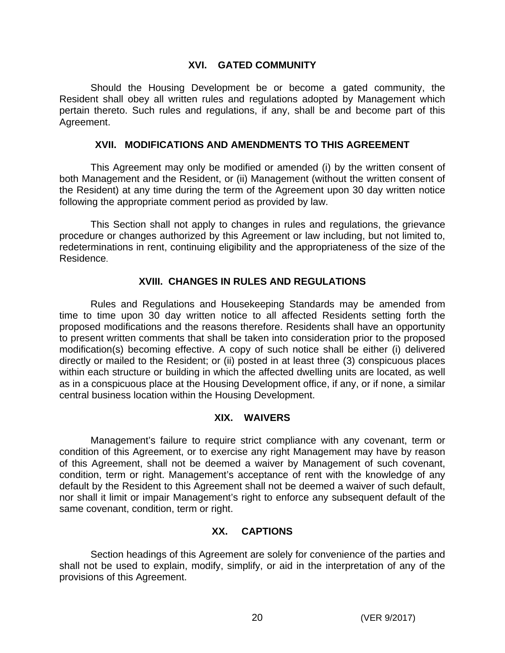### **XVI. GATED COMMUNITY**

Should the Housing Development be or become a gated community, the Resident shall obey all written rules and regulations adopted by Management which pertain thereto. Such rules and regulations, if any, shall be and become part of this Agreement.

### **XVII. MODIFICATIONS AND AMENDMENTS TO THIS AGREEMENT**

 This Agreement may only be modified or amended (i) by the written consent of both Management and the Resident, or (ii) Management (without the written consent of the Resident) at any time during the term of the Agreement upon 30 day written notice following the appropriate comment period as provided by law.

This Section shall not apply to changes in rules and regulations, the grievance procedure or changes authorized by this Agreement or law including, but not limited to, redeterminations in rent, continuing eligibility and the appropriateness of the size of the Residence.

### **XVIII. CHANGES IN RULES AND REGULATIONS**

Rules and Regulations and Housekeeping Standards may be amended from time to time upon 30 day written notice to all affected Residents setting forth the proposed modifications and the reasons therefore. Residents shall have an opportunity to present written comments that shall be taken into consideration prior to the proposed modification(s) becoming effective. A copy of such notice shall be either (i) delivered directly or mailed to the Resident; or (ii) posted in at least three (3) conspicuous places within each structure or building in which the affected dwelling units are located, as well as in a conspicuous place at the Housing Development office, if any, or if none, a similar central business location within the Housing Development.

### **XIX. WAIVERS**

Management's failure to require strict compliance with any covenant, term or condition of this Agreement, or to exercise any right Management may have by reason of this Agreement, shall not be deemed a waiver by Management of such covenant, condition, term or right. Management's acceptance of rent with the knowledge of any default by the Resident to this Agreement shall not be deemed a waiver of such default, nor shall it limit or impair Management's right to enforce any subsequent default of the same covenant, condition, term or right.

## **XX. CAPTIONS**

Section headings of this Agreement are solely for convenience of the parties and shall not be used to explain, modify, simplify, or aid in the interpretation of any of the provisions of this Agreement.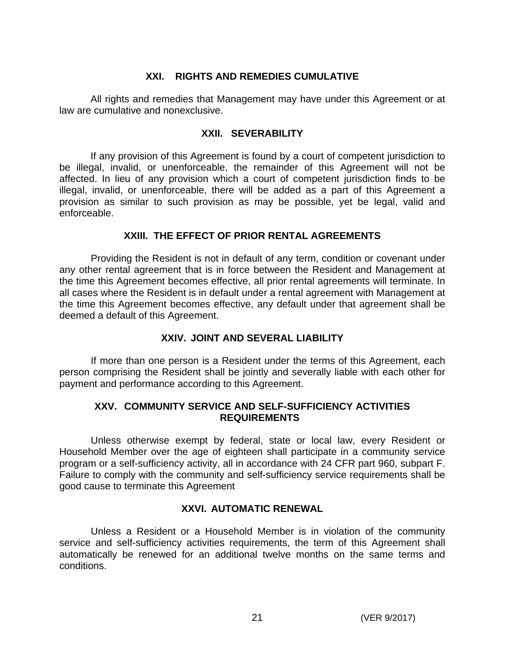### **XXI. RIGHTS AND REMEDIES CUMULATIVE**

All rights and remedies that Management may have under this Agreement or at law are cumulative and nonexclusive.

### **XXII. SEVERABILITY**

If any provision of this Agreement is found by a court of competent jurisdiction to be illegal, invalid, or unenforceable, the remainder of this Agreement will not be affected. In lieu of any provision which a court of competent jurisdiction finds to be illegal, invalid, or unenforceable, there will be added as a part of this Agreement a provision as similar to such provision as may be possible, yet be legal, valid and enforceable.

### **XXIII. THE EFFECT OF PRIOR RENTAL AGREEMENTS**

Providing the Resident is not in default of any term, condition or covenant under any other rental agreement that is in force between the Resident and Management at the time this Agreement becomes effective, all prior rental agreements will terminate. In all cases where the Resident is in default under a rental agreement with Management at the time this Agreement becomes effective, any default under that agreement shall be deemed a default of this Agreement.

## **XXIV. JOINT AND SEVERAL LIABILITY**

If more than one person is a Resident under the terms of this Agreement, each person comprising the Resident shall be jointly and severally liable with each other for payment and performance according to this Agreement.

### **XXV. COMMUNITY SERVICE AND SELF-SUFFICIENCY ACTIVITIES REQUIREMENTS**

Unless otherwise exempt by federal, state or local law, every Resident or Household Member over the age of eighteen shall participate in a community service program or a self-sufficiency activity, all in accordance with 24 CFR part 960, subpart F. Failure to comply with the community and self-sufficiency service requirements shall be good cause to terminate this Agreement

### **XXVI. AUTOMATIC RENEWAL**

Unless a Resident or a Household Member is in violation of the community service and self-sufficiency activities requirements, the term of this Agreement shall automatically be renewed for an additional twelve months on the same terms and conditions.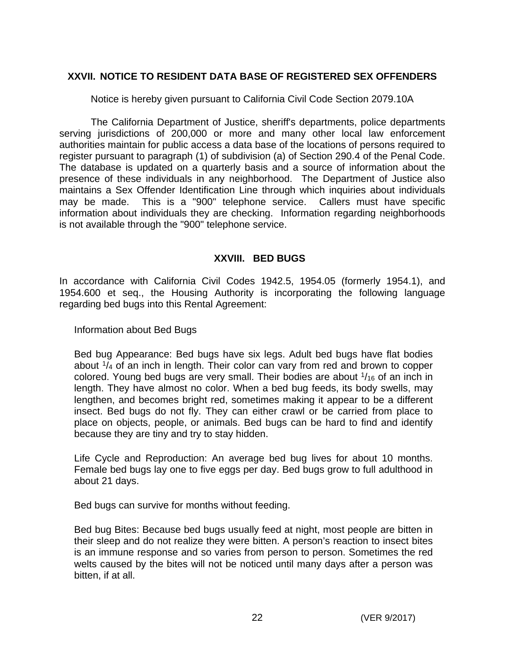## **XXVII. NOTICE TO RESIDENT DATA BASE OF REGISTERED SEX OFFENDERS**

Notice is hereby given pursuant to California Civil Code Section 2079.10A

The California Department of Justice, sheriff's departments, police departments serving jurisdictions of 200,000 or more and many other local law enforcement authorities maintain for public access a data base of the locations of persons required to register pursuant to paragraph (1) of subdivision (a) of Section 290.4 of the Penal Code. The database is updated on a quarterly basis and a source of information about the presence of these individuals in any neighborhood. The Department of Justice also maintains a Sex Offender Identification Line through which inquiries about individuals may be made. This is a "900" telephone service. Callers must have specific information about individuals they are checking. Information regarding neighborhoods is not available through the "900" telephone service.

## **XXVIII. BED BUGS**

In accordance with California Civil Codes 1942.5, 1954.05 (formerly 1954.1), and 1954.600 et seq., the Housing Authority is incorporating the following language regarding bed bugs into this Rental Agreement:

Information about Bed Bugs

Bed bug Appearance: Bed bugs have six legs. Adult bed bugs have flat bodies about  $\frac{1}{4}$  of an inch in length. Their color can vary from red and brown to copper colored. Young bed bugs are very small. Their bodies are about  $\frac{1}{16}$  of an inch in length. They have almost no color. When a bed bug feeds, its body swells, may lengthen, and becomes bright red, sometimes making it appear to be a different insect. Bed bugs do not fly. They can either crawl or be carried from place to place on objects, people, or animals. Bed bugs can be hard to find and identify because they are tiny and try to stay hidden.

Life Cycle and Reproduction: An average bed bug lives for about 10 months. Female bed bugs lay one to five eggs per day. Bed bugs grow to full adulthood in about 21 days.

Bed bugs can survive for months without feeding.

Bed bug Bites: Because bed bugs usually feed at night, most people are bitten in their sleep and do not realize they were bitten. A person's reaction to insect bites is an immune response and so varies from person to person. Sometimes the red welts caused by the bites will not be noticed until many days after a person was bitten, if at all.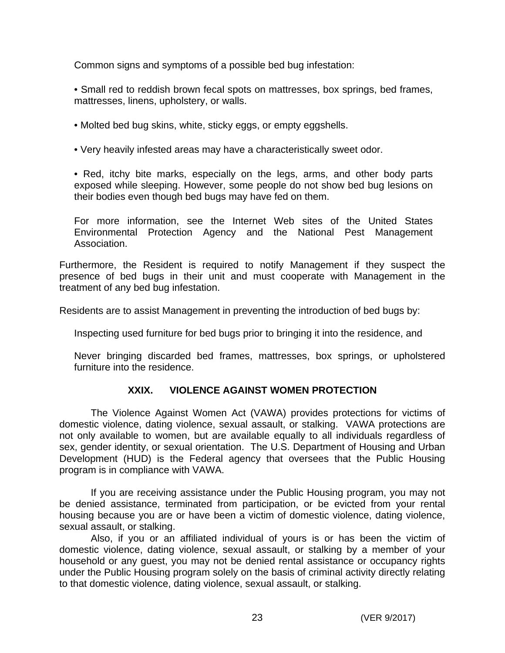Common signs and symptoms of a possible bed bug infestation:

• Small red to reddish brown fecal spots on mattresses, box springs, bed frames, mattresses, linens, upholstery, or walls.

- Molted bed bug skins, white, sticky eggs, or empty eggshells.
- Very heavily infested areas may have a characteristically sweet odor.

• Red, itchy bite marks, especially on the legs, arms, and other body parts exposed while sleeping. However, some people do not show bed bug lesions on their bodies even though bed bugs may have fed on them.

For more information, see the Internet Web sites of the United States Environmental Protection Agency and the National Pest Management Association.

Furthermore, the Resident is required to notify Management if they suspect the presence of bed bugs in their unit and must cooperate with Management in the treatment of any bed bug infestation.

Residents are to assist Management in preventing the introduction of bed bugs by:

Inspecting used furniture for bed bugs prior to bringing it into the residence, and

Never bringing discarded bed frames, mattresses, box springs, or upholstered furniture into the residence.

## **XXIX. VIOLENCE AGAINST WOMEN PROTECTION**

The Violence Against Women Act (VAWA) provides protections for victims of domestic violence, dating violence, sexual assault, or stalking. VAWA protections are not only available to women, but are available equally to all individuals regardless of sex, gender identity, or sexual orientation. The U.S. Department of Housing and Urban Development (HUD) is the Federal agency that oversees that the Public Housing program is in compliance with VAWA.

If you are receiving assistance under the Public Housing program, you may not be denied assistance, terminated from participation, or be evicted from your rental housing because you are or have been a victim of domestic violence, dating violence, sexual assault, or stalking.

Also, if you or an affiliated individual of yours is or has been the victim of domestic violence, dating violence, sexual assault, or stalking by a member of your household or any guest, you may not be denied rental assistance or occupancy rights under the Public Housing program solely on the basis of criminal activity directly relating to that domestic violence, dating violence, sexual assault, or stalking.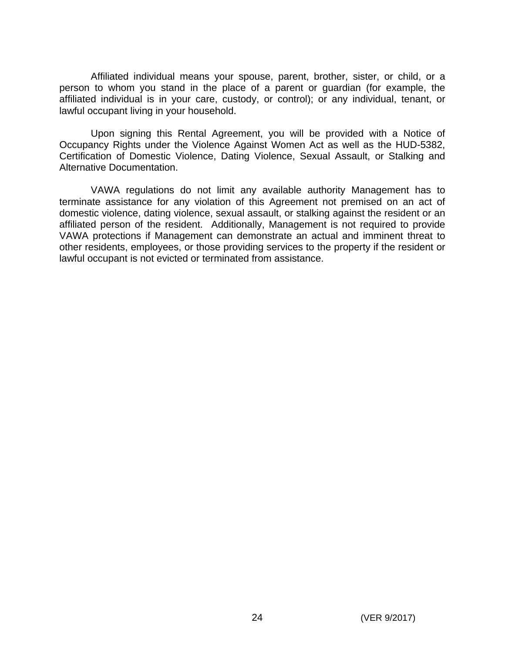Affiliated individual means your spouse, parent, brother, sister, or child, or a person to whom you stand in the place of a parent or guardian (for example, the affiliated individual is in your care, custody, or control); or any individual, tenant, or lawful occupant living in your household.

Upon signing this Rental Agreement, you will be provided with a Notice of Occupancy Rights under the Violence Against Women Act as well as the HUD-5382, Certification of Domestic Violence, Dating Violence, Sexual Assault, or Stalking and Alternative Documentation.

VAWA regulations do not limit any available authority Management has to terminate assistance for any violation of this Agreement not premised on an act of domestic violence, dating violence, sexual assault, or stalking against the resident or an affiliated person of the resident. Additionally, Management is not required to provide VAWA protections if Management can demonstrate an actual and imminent threat to other residents, employees, or those providing services to the property if the resident or lawful occupant is not evicted or terminated from assistance.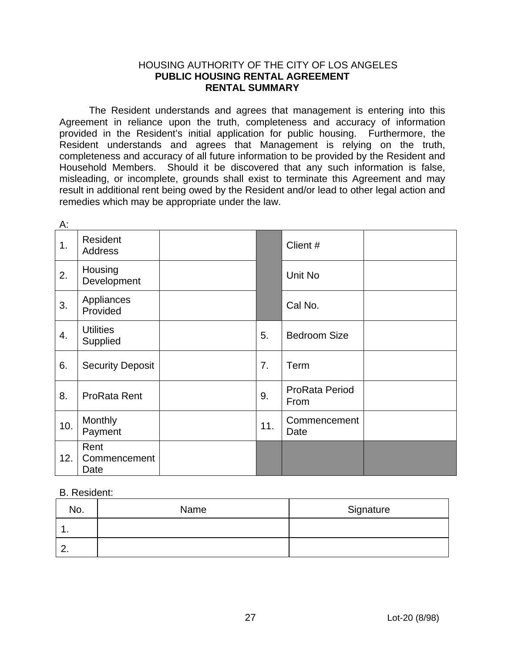#### HOUSING AUTHORITY OF THE CITY OF LOS ANGELES **PUBLIC HOUSING RENTAL AGREEMENT RENTAL SUMMARY**

The Resident understands and agrees that management is entering into this Agreement in reliance upon the truth, completeness and accuracy of information provided in the Resident's initial application for public housing. Furthermore, the Resident understands and agrees that Management is relying on the truth, completeness and accuracy of all future information to be provided by the Resident and Household Members. Should it be discovered that any such information is false, misleading, or incomplete, grounds shall exist to terminate this Agreement and may result in additional rent being owed by the Resident and/or lead to other legal action and remedies which may be appropriate under the law.

| А:  |                              |     |                               |  |
|-----|------------------------------|-----|-------------------------------|--|
| 1.  | Resident<br>Address          |     | Client #                      |  |
| 2.  | Housing<br>Development       |     | Unit No                       |  |
| 3.  | Appliances<br>Provided       |     | Cal No.                       |  |
| 4.  | <b>Utilities</b><br>Supplied | 5.  | <b>Bedroom Size</b>           |  |
| 6.  | <b>Security Deposit</b>      | 7.  | Term                          |  |
| 8.  | ProRata Rent                 | 9.  | <b>ProRata Period</b><br>From |  |
| 10. | Monthly<br>Payment           | 11. | Commencement<br>Date          |  |
| 12. | Rent<br>Commencement<br>Date |     |                               |  |

#### B. Resident:

| No.         | Name | Signature |
|-------------|------|-----------|
| . .         |      |           |
| <u>. . </u> |      |           |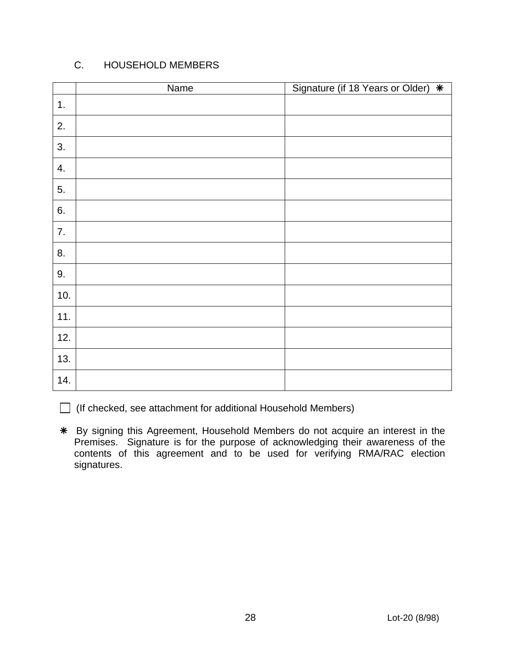# C. HOUSEHOLD MEMBERS

|     | Name | Signature (if 18 Years or Older) * |
|-----|------|------------------------------------|
| 1.  |      |                                    |
| 2.  |      |                                    |
| 3.  |      |                                    |
| 4.  |      |                                    |
| 5.  |      |                                    |
| 6.  |      |                                    |
| 7.  |      |                                    |
| 8.  |      |                                    |
| 9.  |      |                                    |
| 10. |      |                                    |
| 11. |      |                                    |
| 12. |      |                                    |
| 13. |      |                                    |
| 14. |      |                                    |

 $\Box$  (If checked, see attachment for additional Household Members)

 By signing this Agreement, Household Members do not acquire an interest in the Premises. Signature is for the purpose of acknowledging their awareness of the contents of this agreement and to be used for verifying RMA/RAC election signatures.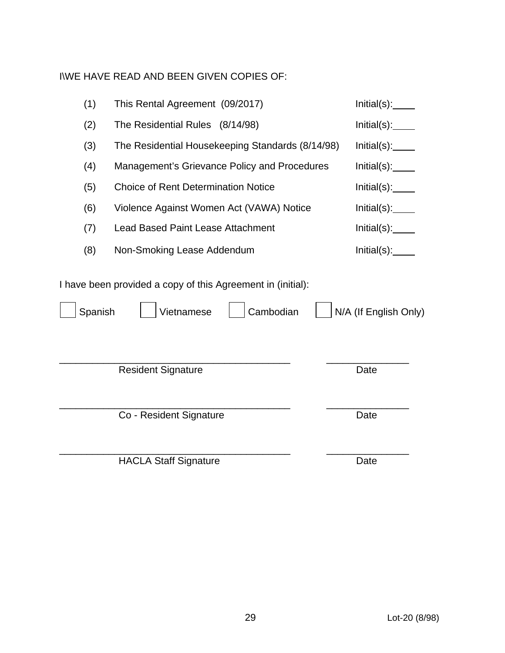I\WE HAVE READ AND BEEN GIVEN COPIES OF:

| (1)     | This Rental Agreement (09/2017)                                                        | Initial(s):           |
|---------|----------------------------------------------------------------------------------------|-----------------------|
| (2)     | The Residential Rules (8/14/98)                                                        | Initial(s):           |
| (3)     | The Residential Housekeeping Standards (8/14/98)                                       | Initial(s):           |
| (4)     | Management's Grievance Policy and Procedures                                           | Initial(s):           |
| (5)     | <b>Choice of Rent Determination Notice</b>                                             | Initial(s):           |
| (6)     | Violence Against Women Act (VAWA) Notice                                               | Initial(s):           |
| (7)     | <b>Lead Based Paint Lease Attachment</b>                                               | Initial(s):           |
| (8)     | Non-Smoking Lease Addendum                                                             | Initial(s):           |
| Spanish | I have been provided a copy of this Agreement in (initial):<br>Cambodian<br>Vietnamese | N/A (If English Only) |
|         | <b>Resident Signature</b>                                                              | Date                  |
|         | Co - Resident Signature                                                                | Date                  |
|         | <b>HACLA Staff Signature</b>                                                           | Date                  |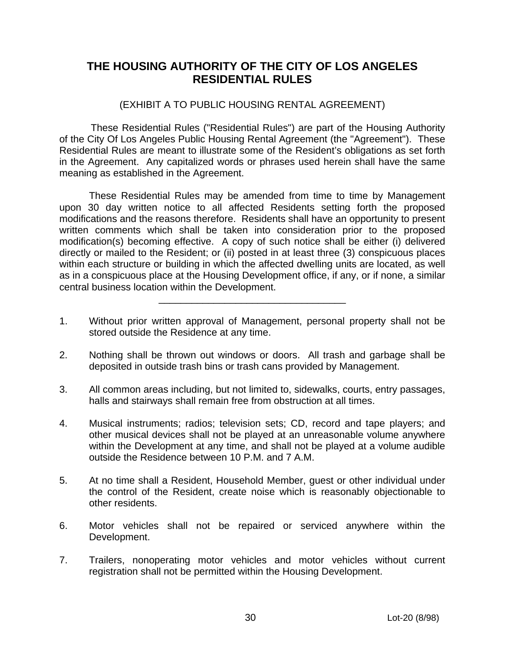# **THE HOUSING AUTHORITY OF THE CITY OF LOS ANGELES RESIDENTIAL RULES**

### (EXHIBIT A TO PUBLIC HOUSING RENTAL AGREEMENT)

These Residential Rules ("Residential Rules") are part of the Housing Authority of the City Of Los Angeles Public Housing Rental Agreement (the "Agreement"). These Residential Rules are meant to illustrate some of the Resident's obligations as set forth in the Agreement. Any capitalized words or phrases used herein shall have the same meaning as established in the Agreement.

These Residential Rules may be amended from time to time by Management upon 30 day written notice to all affected Residents setting forth the proposed modifications and the reasons therefore. Residents shall have an opportunity to present written comments which shall be taken into consideration prior to the proposed modification(s) becoming effective. A copy of such notice shall be either (i) delivered directly or mailed to the Resident; or (ii) posted in at least three (3) conspicuous places within each structure or building in which the affected dwelling units are located, as well as in a conspicuous place at the Housing Development office, if any, or if none, a similar central business location within the Development.

1. Without prior written approval of Management, personal property shall not be stored outside the Residence at any time.

\_\_\_\_\_\_\_\_\_\_\_\_\_\_\_\_\_\_\_\_\_\_\_\_\_\_\_\_\_\_\_\_\_\_

- 2. Nothing shall be thrown out windows or doors. All trash and garbage shall be deposited in outside trash bins or trash cans provided by Management.
- 3. All common areas including, but not limited to, sidewalks, courts, entry passages, halls and stairways shall remain free from obstruction at all times.
- 4. Musical instruments; radios; television sets; CD, record and tape players; and other musical devices shall not be played at an unreasonable volume anywhere within the Development at any time, and shall not be played at a volume audible outside the Residence between 10 P.M. and 7 A.M.
- 5. At no time shall a Resident, Household Member, guest or other individual under the control of the Resident, create noise which is reasonably objectionable to other residents.
- 6. Motor vehicles shall not be repaired or serviced anywhere within the Development.
- 7. Trailers, nonoperating motor vehicles and motor vehicles without current registration shall not be permitted within the Housing Development.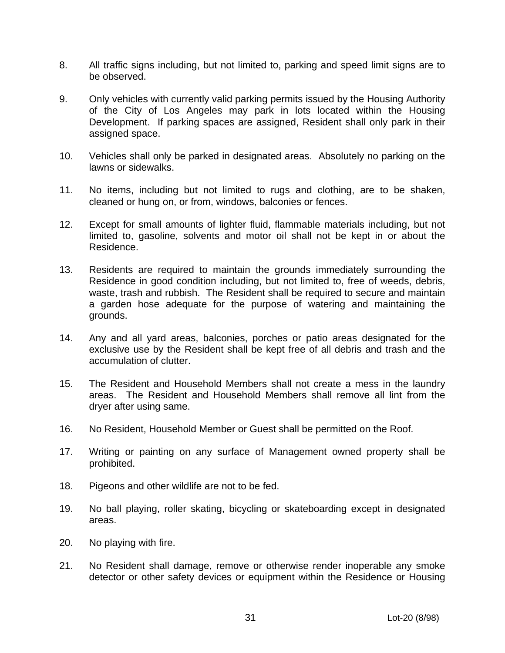- 8. All traffic signs including, but not limited to, parking and speed limit signs are to be observed.
- 9. Only vehicles with currently valid parking permits issued by the Housing Authority of the City of Los Angeles may park in lots located within the Housing Development. If parking spaces are assigned, Resident shall only park in their assigned space.
- 10. Vehicles shall only be parked in designated areas. Absolutely no parking on the lawns or sidewalks.
- 11. No items, including but not limited to rugs and clothing, are to be shaken, cleaned or hung on, or from, windows, balconies or fences.
- 12. Except for small amounts of lighter fluid, flammable materials including, but not limited to, gasoline, solvents and motor oil shall not be kept in or about the Residence.
- 13. Residents are required to maintain the grounds immediately surrounding the Residence in good condition including, but not limited to, free of weeds, debris, waste, trash and rubbish. The Resident shall be required to secure and maintain a garden hose adequate for the purpose of watering and maintaining the grounds.
- 14. Any and all yard areas, balconies, porches or patio areas designated for the exclusive use by the Resident shall be kept free of all debris and trash and the accumulation of clutter.
- 15. The Resident and Household Members shall not create a mess in the laundry areas. The Resident and Household Members shall remove all lint from the dryer after using same.
- 16. No Resident, Household Member or Guest shall be permitted on the Roof.
- 17. Writing or painting on any surface of Management owned property shall be prohibited.
- 18. Pigeons and other wildlife are not to be fed.
- 19. No ball playing, roller skating, bicycling or skateboarding except in designated areas.
- 20. No playing with fire.
- 21. No Resident shall damage, remove or otherwise render inoperable any smoke detector or other safety devices or equipment within the Residence or Housing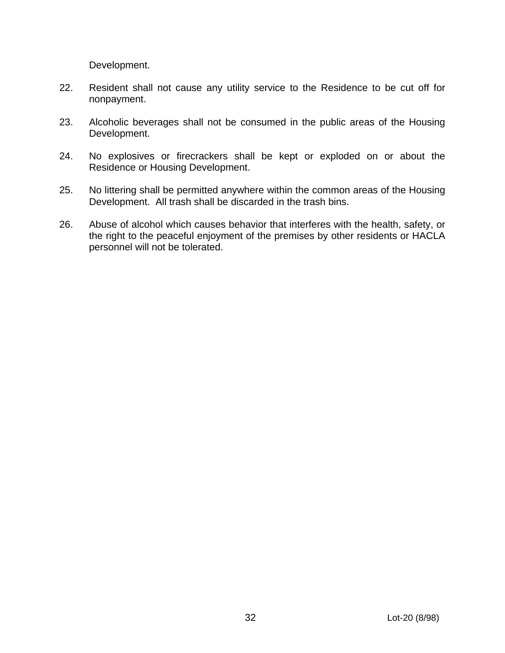Development.

- 22. Resident shall not cause any utility service to the Residence to be cut off for nonpayment.
- 23. Alcoholic beverages shall not be consumed in the public areas of the Housing Development.
- 24. No explosives or firecrackers shall be kept or exploded on or about the Residence or Housing Development.
- 25. No littering shall be permitted anywhere within the common areas of the Housing Development. All trash shall be discarded in the trash bins.
- 26. Abuse of alcohol which causes behavior that interferes with the health, safety, or the right to the peaceful enjoyment of the premises by other residents or HACLA personnel will not be tolerated.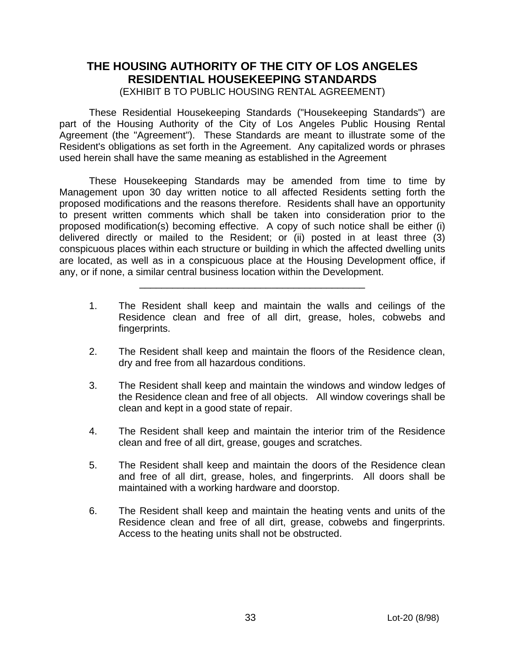### **THE HOUSING AUTHORITY OF THE CITY OF LOS ANGELES RESIDENTIAL HOUSEKEEPING STANDARDS** (EXHIBIT B TO PUBLIC HOUSING RENTAL AGREEMENT)

These Residential Housekeeping Standards ("Housekeeping Standards") are part of the Housing Authority of the City of Los Angeles Public Housing Rental Agreement (the "Agreement"). These Standards are meant to illustrate some of the Resident's obligations as set forth in the Agreement. Any capitalized words or phrases used herein shall have the same meaning as established in the Agreement

These Housekeeping Standards may be amended from time to time by Management upon 30 day written notice to all affected Residents setting forth the proposed modifications and the reasons therefore. Residents shall have an opportunity to present written comments which shall be taken into consideration prior to the proposed modification(s) becoming effective. A copy of such notice shall be either (i) delivered directly or mailed to the Resident; or (ii) posted in at least three (3) conspicuous places within each structure or building in which the affected dwelling units are located, as well as in a conspicuous place at the Housing Development office, if any, or if none, a similar central business location within the Development.

 $\frac{1}{\sqrt{2}}$  ,  $\frac{1}{\sqrt{2}}$  ,  $\frac{1}{\sqrt{2}}$  ,  $\frac{1}{\sqrt{2}}$  ,  $\frac{1}{\sqrt{2}}$  ,  $\frac{1}{\sqrt{2}}$  ,  $\frac{1}{\sqrt{2}}$  ,  $\frac{1}{\sqrt{2}}$  ,  $\frac{1}{\sqrt{2}}$  ,  $\frac{1}{\sqrt{2}}$  ,  $\frac{1}{\sqrt{2}}$  ,  $\frac{1}{\sqrt{2}}$  ,  $\frac{1}{\sqrt{2}}$  ,  $\frac{1}{\sqrt{2}}$  ,  $\frac{1}{\sqrt{2}}$ 

- 1. The Resident shall keep and maintain the walls and ceilings of the Residence clean and free of all dirt, grease, holes, cobwebs and fingerprints.
- 2. The Resident shall keep and maintain the floors of the Residence clean, dry and free from all hazardous conditions.
- 3. The Resident shall keep and maintain the windows and window ledges of the Residence clean and free of all objects. All window coverings shall be clean and kept in a good state of repair.
- 4. The Resident shall keep and maintain the interior trim of the Residence clean and free of all dirt, grease, gouges and scratches.
- 5. The Resident shall keep and maintain the doors of the Residence clean and free of all dirt, grease, holes, and fingerprints. All doors shall be maintained with a working hardware and doorstop.
- 6. The Resident shall keep and maintain the heating vents and units of the Residence clean and free of all dirt, grease, cobwebs and fingerprints. Access to the heating units shall not be obstructed.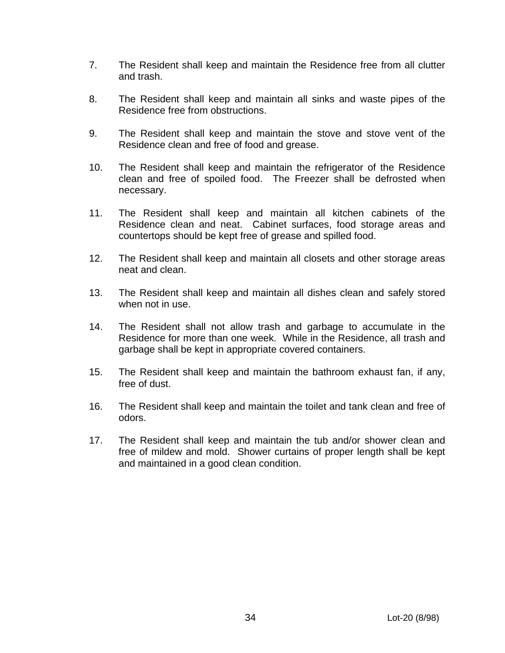- 7. The Resident shall keep and maintain the Residence free from all clutter and trash.
- 8. The Resident shall keep and maintain all sinks and waste pipes of the Residence free from obstructions.
- 9. The Resident shall keep and maintain the stove and stove vent of the Residence clean and free of food and grease.
- 10. The Resident shall keep and maintain the refrigerator of the Residence clean and free of spoiled food. The Freezer shall be defrosted when necessary.
- 11. The Resident shall keep and maintain all kitchen cabinets of the Residence clean and neat. Cabinet surfaces, food storage areas and countertops should be kept free of grease and spilled food.
- 12. The Resident shall keep and maintain all closets and other storage areas neat and clean.
- 13. The Resident shall keep and maintain all dishes clean and safely stored when not in use.
- 14. The Resident shall not allow trash and garbage to accumulate in the Residence for more than one week. While in the Residence, all trash and garbage shall be kept in appropriate covered containers.
- 15. The Resident shall keep and maintain the bathroom exhaust fan, if any, free of dust.
- 16. The Resident shall keep and maintain the toilet and tank clean and free of odors.
- 17. The Resident shall keep and maintain the tub and/or shower clean and free of mildew and mold. Shower curtains of proper length shall be kept and maintained in a good clean condition.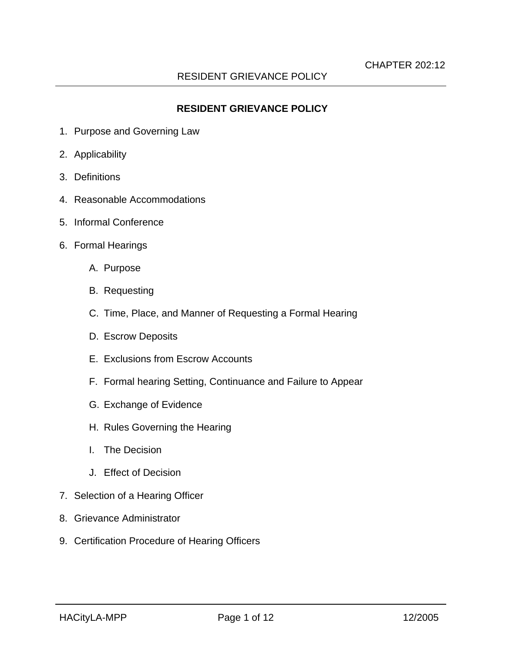### **RESIDENT GRIEVANCE POLICY**

- 1. Purpose and Governing Law
- 2. Applicability
- 3. Definitions
- 4. Reasonable Accommodations
- 5. Informal Conference
- 6. Formal Hearings
	- A. Purpose
	- B. Requesting
	- C. Time, Place, and Manner of Requesting a Formal Hearing
	- D. Escrow Deposits
	- E. Exclusions from Escrow Accounts
	- F. Formal hearing Setting, Continuance and Failure to Appear
	- G. Exchange of Evidence
	- H. Rules Governing the Hearing
	- I. The Decision
	- J. Effect of Decision
- 7. Selection of a Hearing Officer
- 8. Grievance Administrator
- 9. Certification Procedure of Hearing Officers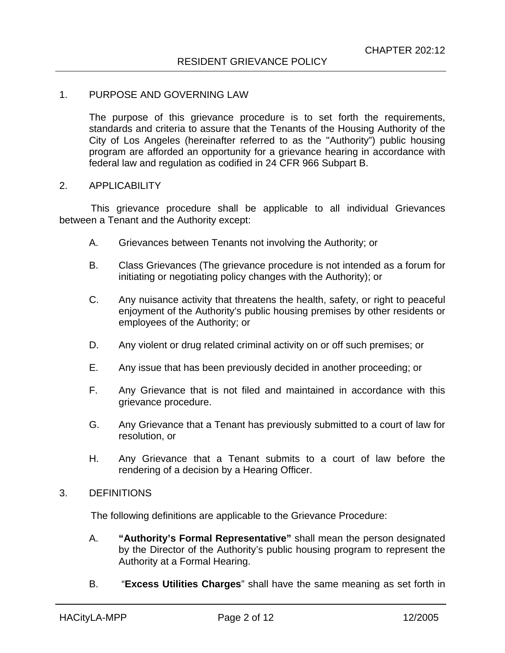#### 1. PURPOSE AND GOVERNING LAW

The purpose of this grievance procedure is to set forth the requirements, standards and criteria to assure that the Tenants of the Housing Authority of the City of Los Angeles (hereinafter referred to as the "Authority") public housing program are afforded an opportunity for a grievance hearing in accordance with federal law and regulation as codified in 24 CFR 966 Subpart B.

#### 2. APPLICABILITY

This grievance procedure shall be applicable to all individual Grievances between a Tenant and the Authority except:

- A. Grievances between Tenants not involving the Authority; or
- B. Class Grievances (The grievance procedure is not intended as a forum for initiating or negotiating policy changes with the Authority); or
- C. Any nuisance activity that threatens the health, safety, or right to peaceful enjoyment of the Authority's public housing premises by other residents or employees of the Authority; or
- D. Any violent or drug related criminal activity on or off such premises; or
- E. Any issue that has been previously decided in another proceeding; or
- F. Any Grievance that is not filed and maintained in accordance with this grievance procedure.
- G. Any Grievance that a Tenant has previously submitted to a court of law for resolution, or
- H. Any Grievance that a Tenant submits to a court of law before the rendering of a decision by a Hearing Officer.

#### 3. DEFINITIONS

The following definitions are applicable to the Grievance Procedure:

- A. **"Authority's Formal Representative"** shall mean the person designated by the Director of the Authority's public housing program to represent the Authority at a Formal Hearing.
- B. "**Excess Utilities Charges**" shall have the same meaning as set forth in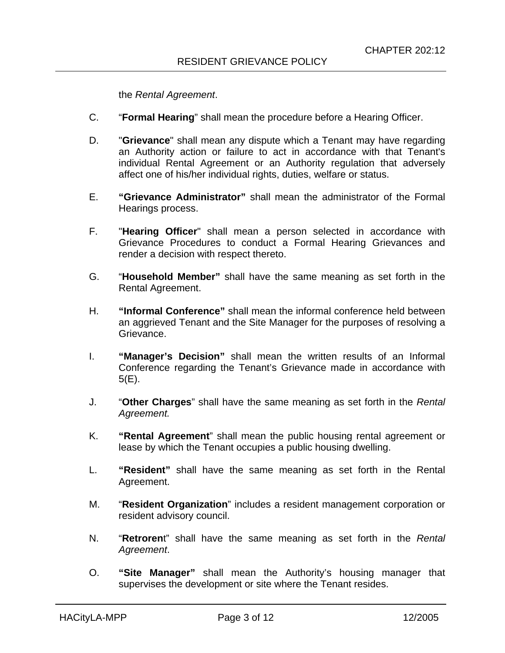the *Rental Agreement*.

- C. "**Formal Hearing**" shall mean the procedure before a Hearing Officer.
- D. "**Grievance**" shall mean any dispute which a Tenant may have regarding an Authority action or failure to act in accordance with that Tenant's individual Rental Agreement or an Authority regulation that adversely affect one of his/her individual rights, duties, welfare or status.
- E. **"Grievance Administrator"** shall mean the administrator of the Formal Hearings process.
- F. "**Hearing Officer**" shall mean a person selected in accordance with Grievance Procedures to conduct a Formal Hearing Grievances and render a decision with respect thereto.
- G. "**Household Member"** shall have the same meaning as set forth in the Rental Agreement.
- H. **"Informal Conference"** shall mean the informal conference held between an aggrieved Tenant and the Site Manager for the purposes of resolving a Grievance.
- I. **"Manager's Decision"** shall mean the written results of an Informal Conference regarding the Tenant's Grievance made in accordance with 5(E).
- J. "**Other Charges**" shall have the same meaning as set forth in the *Rental Agreement.*
- K. **"Rental Agreement**" shall mean the public housing rental agreement or lease by which the Tenant occupies a public housing dwelling.
- L. **"Resident"** shall have the same meaning as set forth in the Rental Agreement.
- M. "**Resident Organization**" includes a resident management corporation or resident advisory council.
- N. "**Retroren**t" shall have the same meaning as set forth in the *Rental Agreement*.
- O. **"Site Manager"** shall mean the Authority's housing manager that supervises the development or site where the Tenant resides.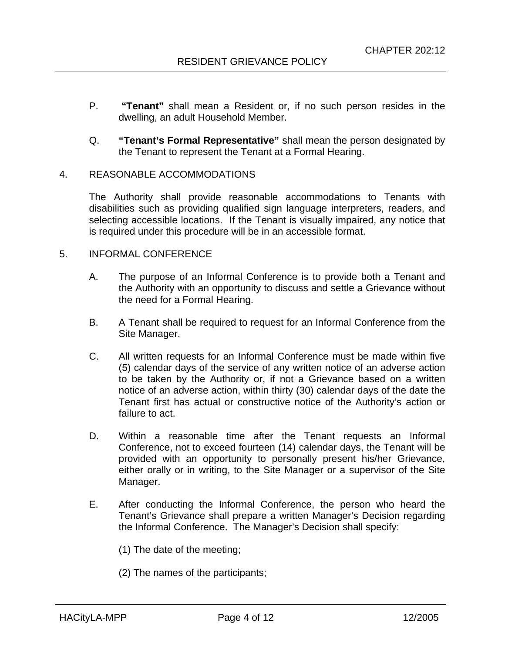- P. **"Tenant"** shall mean a Resident or, if no such person resides in the dwelling, an adult Household Member.
- Q. **"Tenant's Formal Representative"** shall mean the person designated by the Tenant to represent the Tenant at a Formal Hearing.

#### 4. REASONABLE ACCOMMODATIONS

The Authority shall provide reasonable accommodations to Tenants with disabilities such as providing qualified sign language interpreters, readers, and selecting accessible locations. If the Tenant is visually impaired, any notice that is required under this procedure will be in an accessible format.

#### 5. INFORMAL CONFERENCE

- A. The purpose of an Informal Conference is to provide both a Tenant and the Authority with an opportunity to discuss and settle a Grievance without the need for a Formal Hearing.
- B. A Tenant shall be required to request for an Informal Conference from the Site Manager.
- C. All written requests for an Informal Conference must be made within five (5) calendar days of the service of any written notice of an adverse action to be taken by the Authority or, if not a Grievance based on a written notice of an adverse action, within thirty (30) calendar days of the date the Tenant first has actual or constructive notice of the Authority's action or failure to act.
- D. Within a reasonable time after the Tenant requests an Informal Conference, not to exceed fourteen (14) calendar days, the Tenant will be provided with an opportunity to personally present his/her Grievance, either orally or in writing, to the Site Manager or a supervisor of the Site Manager.
- E. After conducting the Informal Conference, the person who heard the Tenant's Grievance shall prepare a written Manager's Decision regarding the Informal Conference. The Manager's Decision shall specify:
	- (1) The date of the meeting;
	- (2) The names of the participants;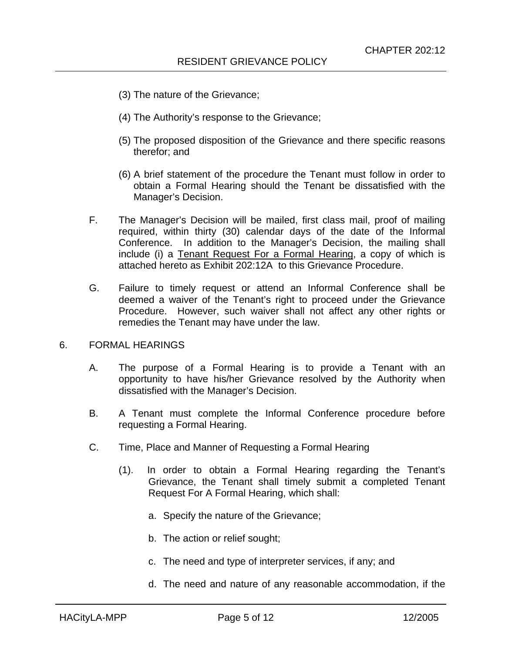- (3) The nature of the Grievance;
- (4) The Authority's response to the Grievance;
- (5) The proposed disposition of the Grievance and there specific reasons therefor; and
- (6) A brief statement of the procedure the Tenant must follow in order to obtain a Formal Hearing should the Tenant be dissatisfied with the Manager's Decision.
- F. The Manager's Decision will be mailed, first class mail, proof of mailing required, within thirty (30) calendar days of the date of the Informal Conference. In addition to the Manager's Decision, the mailing shall include (i) a Tenant Request For a Formal Hearing, a copy of which is attached hereto as Exhibit 202:12A to this Grievance Procedure.
- G. Failure to timely request or attend an Informal Conference shall be deemed a waiver of the Tenant's right to proceed under the Grievance Procedure. However, such waiver shall not affect any other rights or remedies the Tenant may have under the law.

#### 6. FORMAL HEARINGS

- A. The purpose of a Formal Hearing is to provide a Tenant with an opportunity to have his/her Grievance resolved by the Authority when dissatisfied with the Manager's Decision.
- B. A Tenant must complete the Informal Conference procedure before requesting a Formal Hearing.
- C. Time, Place and Manner of Requesting a Formal Hearing
	- (1). In order to obtain a Formal Hearing regarding the Tenant's Grievance, the Tenant shall timely submit a completed Tenant Request For A Formal Hearing, which shall:
		- a. Specify the nature of the Grievance;
		- b. The action or relief sought;
		- c. The need and type of interpreter services, if any; and
		- d. The need and nature of any reasonable accommodation, if the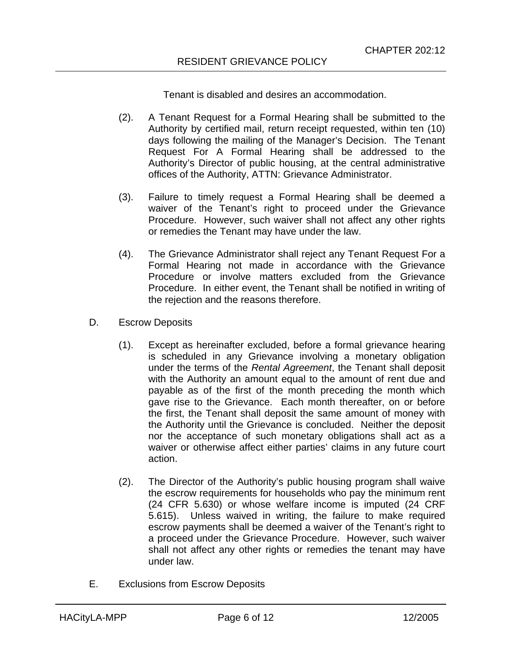Tenant is disabled and desires an accommodation.

- (2). A Tenant Request for a Formal Hearing shall be submitted to the Authority by certified mail, return receipt requested, within ten (10) days following the mailing of the Manager's Decision. The Tenant Request For A Formal Hearing shall be addressed to the Authority's Director of public housing, at the central administrative offices of the Authority, ATTN: Grievance Administrator.
- (3). Failure to timely request a Formal Hearing shall be deemed a waiver of the Tenant's right to proceed under the Grievance Procedure. However, such waiver shall not affect any other rights or remedies the Tenant may have under the law.
- (4). The Grievance Administrator shall reject any Tenant Request For a Formal Hearing not made in accordance with the Grievance Procedure or involve matters excluded from the Grievance Procedure. In either event, the Tenant shall be notified in writing of the rejection and the reasons therefore.
- D. Escrow Deposits
	- (1). Except as hereinafter excluded, before a formal grievance hearing is scheduled in any Grievance involving a monetary obligation under the terms of the *Rental Agreement*, the Tenant shall deposit with the Authority an amount equal to the amount of rent due and payable as of the first of the month preceding the month which gave rise to the Grievance. Each month thereafter, on or before the first, the Tenant shall deposit the same amount of money with the Authority until the Grievance is concluded. Neither the deposit nor the acceptance of such monetary obligations shall act as a waiver or otherwise affect either parties' claims in any future court action.
	- (2). The Director of the Authority's public housing program shall waive the escrow requirements for households who pay the minimum rent (24 CFR 5.630) or whose welfare income is imputed (24 CRF 5.615). Unless waived in writing, the failure to make required escrow payments shall be deemed a waiver of the Tenant's right to a proceed under the Grievance Procedure. However, such waiver shall not affect any other rights or remedies the tenant may have under law.
- E. Exclusions from Escrow Deposits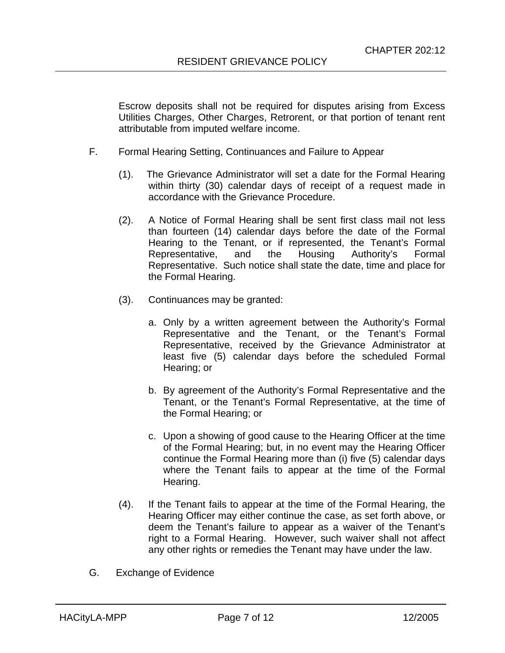Escrow deposits shall not be required for disputes arising from Excess Utilities Charges, Other Charges, Retrorent, or that portion of tenant rent attributable from imputed welfare income.

- F. Formal Hearing Setting, Continuances and Failure to Appear
	- (1). The Grievance Administrator will set a date for the Formal Hearing within thirty (30) calendar days of receipt of a request made in accordance with the Grievance Procedure.
	- (2). A Notice of Formal Hearing shall be sent first class mail not less than fourteen (14) calendar days before the date of the Formal Hearing to the Tenant, or if represented, the Tenant's Formal Representative, and the Housing Authority's Formal Representative. Such notice shall state the date, time and place for the Formal Hearing.
	- (3). Continuances may be granted:
		- a. Only by a written agreement between the Authority's Formal Representative and the Tenant, or the Tenant's Formal Representative, received by the Grievance Administrator at least five (5) calendar days before the scheduled Formal Hearing; or
		- b. By agreement of the Authority's Formal Representative and the Tenant, or the Tenant's Formal Representative, at the time of the Formal Hearing; or
		- c. Upon a showing of good cause to the Hearing Officer at the time of the Formal Hearing; but, in no event may the Hearing Officer continue the Formal Hearing more than (i) five (5) calendar days where the Tenant fails to appear at the time of the Formal Hearing.
	- (4). If the Tenant fails to appear at the time of the Formal Hearing, the Hearing Officer may either continue the case, as set forth above, or deem the Tenant's failure to appear as a waiver of the Tenant's right to a Formal Hearing. However, such waiver shall not affect any other rights or remedies the Tenant may have under the law.
- G. Exchange of Evidence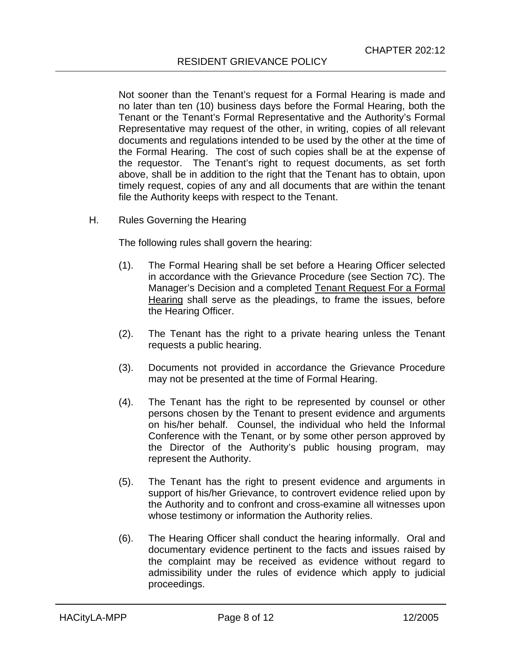Not sooner than the Tenant's request for a Formal Hearing is made and no later than ten (10) business days before the Formal Hearing, both the Tenant or the Tenant's Formal Representative and the Authority's Formal Representative may request of the other, in writing, copies of all relevant documents and regulations intended to be used by the other at the time of the Formal Hearing. The cost of such copies shall be at the expense of the requestor. The Tenant's right to request documents, as set forth above, shall be in addition to the right that the Tenant has to obtain, upon timely request, copies of any and all documents that are within the tenant file the Authority keeps with respect to the Tenant.

H. Rules Governing the Hearing

The following rules shall govern the hearing:

- (1). The Formal Hearing shall be set before a Hearing Officer selected in accordance with the Grievance Procedure (see Section 7C). The Manager's Decision and a completed Tenant Request For a Formal Hearing shall serve as the pleadings, to frame the issues, before the Hearing Officer.
- (2). The Tenant has the right to a private hearing unless the Tenant requests a public hearing.
- (3). Documents not provided in accordance the Grievance Procedure may not be presented at the time of Formal Hearing.
- (4). The Tenant has the right to be represented by counsel or other persons chosen by the Tenant to present evidence and arguments on his/her behalf. Counsel, the individual who held the Informal Conference with the Tenant, or by some other person approved by the Director of the Authority's public housing program, may represent the Authority.
- (5). The Tenant has the right to present evidence and arguments in support of his/her Grievance, to controvert evidence relied upon by the Authority and to confront and cross-examine all witnesses upon whose testimony or information the Authority relies.
- (6). The Hearing Officer shall conduct the hearing informally. Oral and documentary evidence pertinent to the facts and issues raised by the complaint may be received as evidence without regard to admissibility under the rules of evidence which apply to judicial proceedings.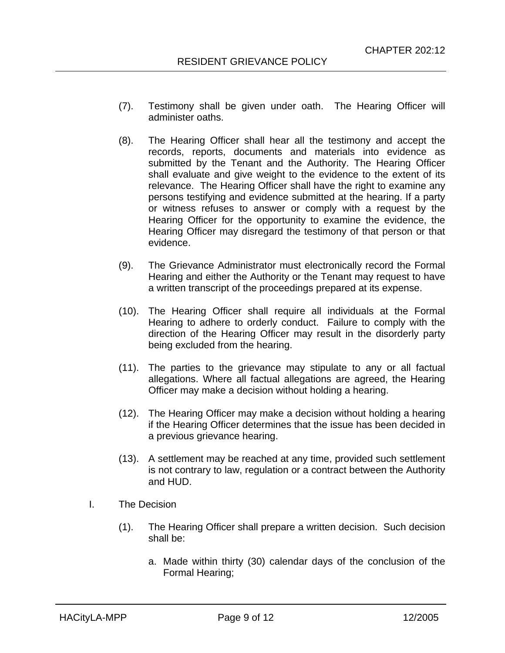- (7). Testimony shall be given under oath. The Hearing Officer will administer oaths.
- (8). The Hearing Officer shall hear all the testimony and accept the records, reports, documents and materials into evidence as submitted by the Tenant and the Authority. The Hearing Officer shall evaluate and give weight to the evidence to the extent of its relevance. The Hearing Officer shall have the right to examine any persons testifying and evidence submitted at the hearing. If a party or witness refuses to answer or comply with a request by the Hearing Officer for the opportunity to examine the evidence, the Hearing Officer may disregard the testimony of that person or that evidence.
- (9). The Grievance Administrator must electronically record the Formal Hearing and either the Authority or the Tenant may request to have a written transcript of the proceedings prepared at its expense.
- (10). The Hearing Officer shall require all individuals at the Formal Hearing to adhere to orderly conduct. Failure to comply with the direction of the Hearing Officer may result in the disorderly party being excluded from the hearing.
- (11). The parties to the grievance may stipulate to any or all factual allegations. Where all factual allegations are agreed, the Hearing Officer may make a decision without holding a hearing.
- (12). The Hearing Officer may make a decision without holding a hearing if the Hearing Officer determines that the issue has been decided in a previous grievance hearing.
- (13). A settlement may be reached at any time, provided such settlement is not contrary to law, regulation or a contract between the Authority and HUD.
- I. The Decision
	- (1). The Hearing Officer shall prepare a written decision. Such decision shall be:
		- a. Made within thirty (30) calendar days of the conclusion of the Formal Hearing;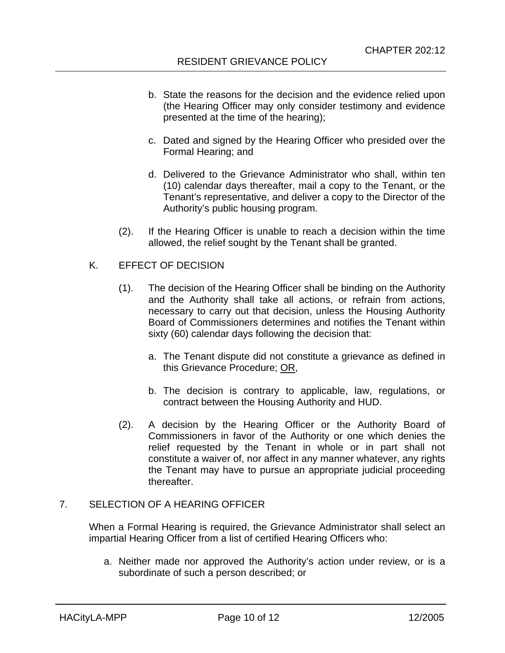- b. State the reasons for the decision and the evidence relied upon (the Hearing Officer may only consider testimony and evidence presented at the time of the hearing);
- c. Dated and signed by the Hearing Officer who presided over the Formal Hearing; and
- d. Delivered to the Grievance Administrator who shall, within ten (10) calendar days thereafter, mail a copy to the Tenant, or the Tenant's representative, and deliver a copy to the Director of the Authority's public housing program.
- (2). If the Hearing Officer is unable to reach a decision within the time allowed, the relief sought by the Tenant shall be granted.

#### K. EFFECT OF DECISION

- (1). The decision of the Hearing Officer shall be binding on the Authority and the Authority shall take all actions, or refrain from actions, necessary to carry out that decision, unless the Housing Authority Board of Commissioners determines and notifies the Tenant within sixty (60) calendar days following the decision that:
	- a. The Tenant dispute did not constitute a grievance as defined in this Grievance Procedure; OR,
	- b. The decision is contrary to applicable, law, regulations, or contract between the Housing Authority and HUD.
- (2). A decision by the Hearing Officer or the Authority Board of Commissioners in favor of the Authority or one which denies the relief requested by the Tenant in whole or in part shall not constitute a waiver of, nor affect in any manner whatever, any rights the Tenant may have to pursue an appropriate judicial proceeding thereafter.

#### 7. SELECTION OF A HEARING OFFICER

When a Formal Hearing is required, the Grievance Administrator shall select an impartial Hearing Officer from a list of certified Hearing Officers who:

a. Neither made nor approved the Authority's action under review, or is a subordinate of such a person described; or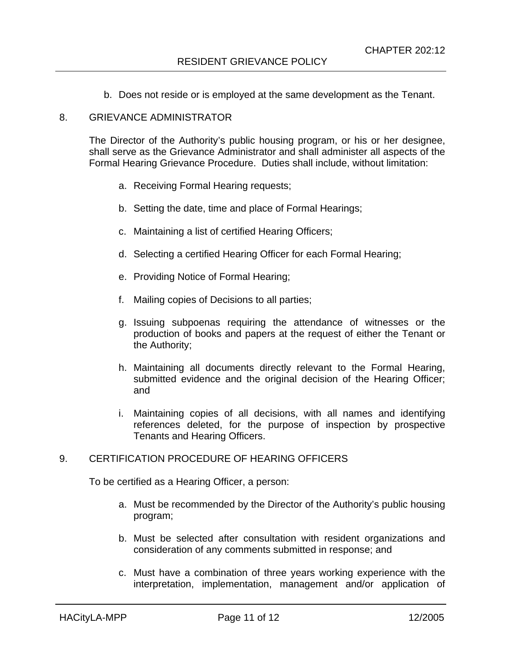b. Does not reside or is employed at the same development as the Tenant.

#### 8. GRIEVANCE ADMINISTRATOR

The Director of the Authority's public housing program, or his or her designee, shall serve as the Grievance Administrator and shall administer all aspects of the Formal Hearing Grievance Procedure. Duties shall include, without limitation:

- a. Receiving Formal Hearing requests;
- b. Setting the date, time and place of Formal Hearings;
- c. Maintaining a list of certified Hearing Officers;
- d. Selecting a certified Hearing Officer for each Formal Hearing;
- e. Providing Notice of Formal Hearing;
- f. Mailing copies of Decisions to all parties;
- g. Issuing subpoenas requiring the attendance of witnesses or the production of books and papers at the request of either the Tenant or the Authority;
- h. Maintaining all documents directly relevant to the Formal Hearing, submitted evidence and the original decision of the Hearing Officer; and
- i. Maintaining copies of all decisions, with all names and identifying references deleted, for the purpose of inspection by prospective Tenants and Hearing Officers.

### 9. CERTIFICATION PROCEDURE OF HEARING OFFICERS

To be certified as a Hearing Officer, a person:

- a. Must be recommended by the Director of the Authority's public housing program;
- b. Must be selected after consultation with resident organizations and consideration of any comments submitted in response; and
- c. Must have a combination of three years working experience with the interpretation, implementation, management and/or application of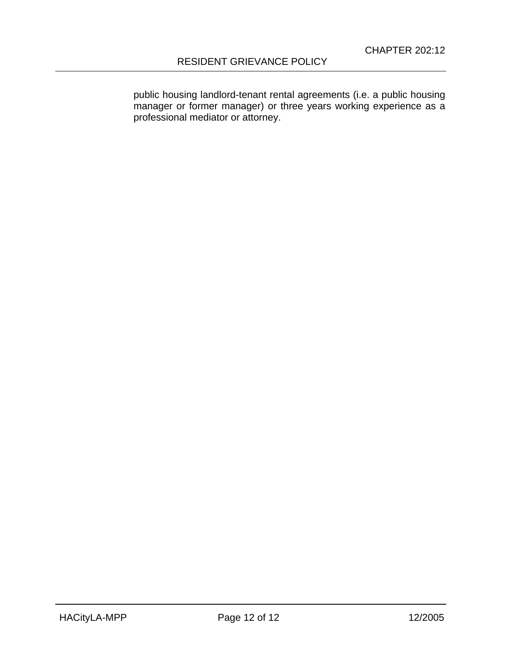public housing landlord-tenant rental agreements (i.e. a public housing manager or former manager) or three years working experience as a professional mediator or attorney.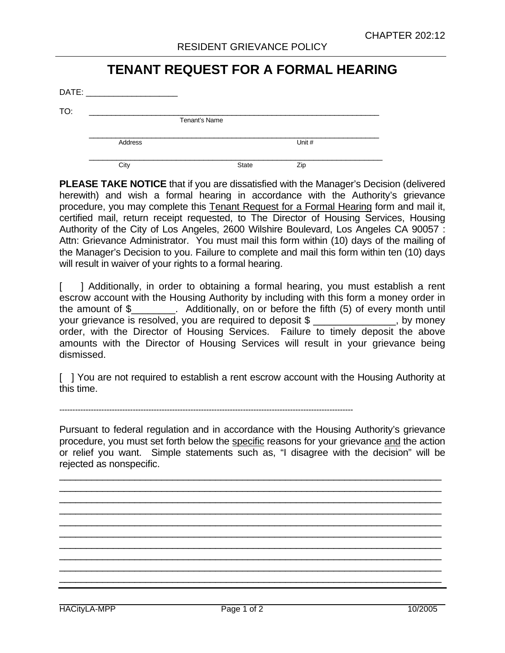# **TENANT REQUEST FOR A FORMAL HEARING**

| DATE: |         |               |        |  |
|-------|---------|---------------|--------|--|
| TO:   |         |               |        |  |
|       |         | Tenant's Name |        |  |
|       | Address |               | Unit # |  |
|       | City    | <b>State</b>  | Zip    |  |

**PLEASE TAKE NOTICE** that if you are dissatisfied with the Manager's Decision (delivered herewith) and wish a formal hearing in accordance with the Authority's grievance procedure, you may complete this Tenant Request for a Formal Hearing form and mail it, certified mail, return receipt requested, to The Director of Housing Services, Housing Authority of the City of Los Angeles, 2600 Wilshire Boulevard, Los Angeles CA 90057 : Attn: Grievance Administrator. You must mail this form within (10) days of the mailing of the Manager's Decision to you. Failure to complete and mail this form within ten (10) days will result in waiver of your rights to a formal hearing.

[ ] Additionally, in order to obtaining a formal hearing, you must establish a rent escrow account with the Housing Authority by including with this form a money order in the amount of \$\_\_\_\_\_\_\_\_. Additionally, on or before the fifth (5) of every month until your grievance is resolved, you are required to deposit \$ \_\_\_\_\_\_\_\_\_\_\_\_\_\_\_, by money order, with the Director of Housing Services. Failure to timely deposit the above amounts with the Director of Housing Services will result in your grievance being dismissed.

[ ] You are not required to establish a rent escrow account with the Housing Authority at this time.

----------------------------------------------------------------------------------------------------------------

Pursuant to federal regulation and in accordance with the Housing Authority's grievance procedure, you must set forth below the specific reasons for your grievance and the action or relief you want. Simple statements such as, "I disagree with the decision" will be rejected as nonspecific.

\_\_\_\_\_\_\_\_\_\_\_\_\_\_\_\_\_\_\_\_\_\_\_\_\_\_\_\_\_\_\_\_\_\_\_\_\_\_\_\_\_\_\_\_\_\_\_\_\_\_\_\_\_\_\_\_\_\_\_\_\_\_\_\_\_\_\_\_\_\_\_  $\_$  , and the set of the set of the set of the set of the set of the set of the set of the set of the set of the set of the set of the set of the set of the set of the set of the set of the set of the set of the set of th  $\_$  , and the set of the set of the set of the set of the set of the set of the set of the set of the set of the set of the set of the set of the set of the set of the set of the set of the set of the set of the set of th  $\_$  , and the set of the set of the set of the set of the set of the set of the set of the set of the set of the set of the set of the set of the set of the set of the set of the set of the set of the set of the set of th  $\_$  , and the set of the set of the set of the set of the set of the set of the set of the set of the set of the set of the set of the set of the set of the set of the set of the set of the set of the set of the set of th  $\_$  , and the set of the set of the set of the set of the set of the set of the set of the set of the set of the set of the set of the set of the set of the set of the set of the set of the set of the set of the set of th  $\_$  , and the set of the set of the set of the set of the set of the set of the set of the set of the set of the set of the set of the set of the set of the set of the set of the set of the set of the set of the set of th  $\_$  , and the set of the set of the set of the set of the set of the set of the set of the set of the set of the set of the set of the set of the set of the set of the set of the set of the set of the set of the set of th  $\_$  , and the set of the set of the set of the set of the set of the set of the set of the set of the set of the set of the set of the set of the set of the set of the set of the set of the set of the set of the set of th  $\_$  , and the set of the set of the set of the set of the set of the set of the set of the set of the set of the set of the set of the set of the set of the set of the set of the set of the set of the set of the set of th